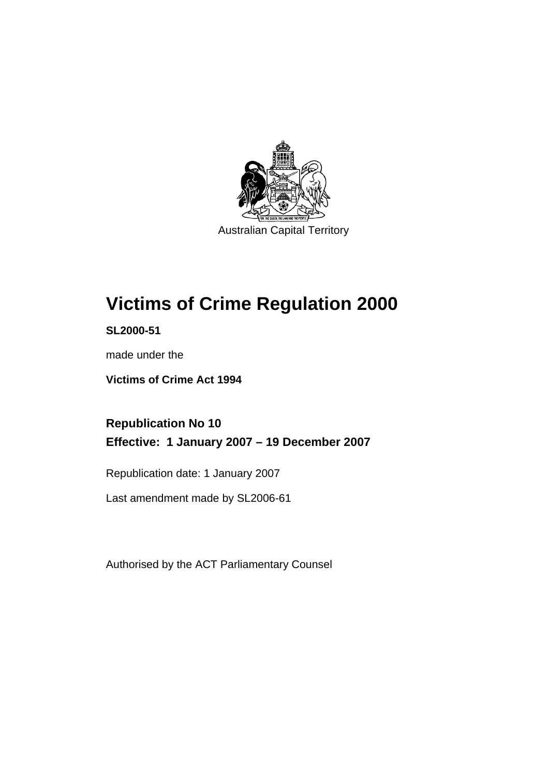

Australian Capital Territory

# **[Victims of Crime Regulation 2000](#page-6-0)**

**SL2000-51** 

made under the

**[Victims of Crime Act 1994](#page-6-0)** 

**Republication No 10 Effective: 1 January 2007 – 19 December 2007** 

Republication date: 1 January 2007

Last amendment made by SL2006-61

Authorised by the ACT Parliamentary Counsel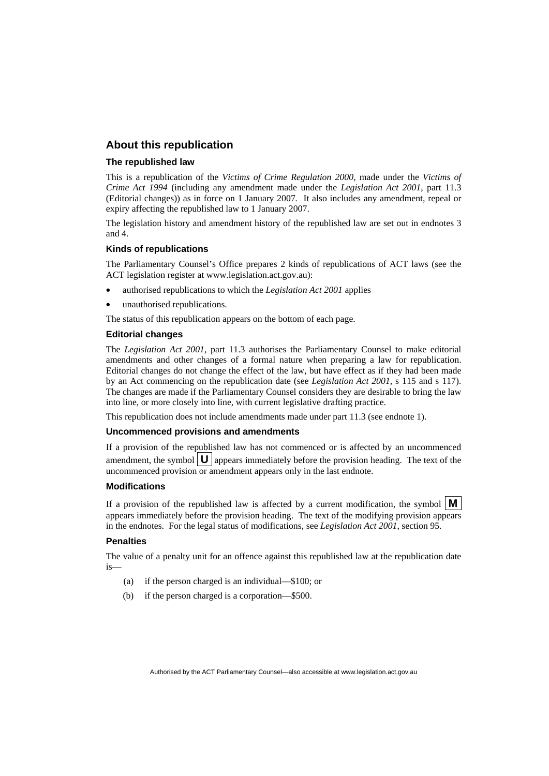#### **About this republication**

#### **The republished law**

This is a republication of the *Victims of Crime Regulation 2000*, made under the *[Victims of](#page-6-0)  [Crime Act 1994](#page-6-0)* (including any amendment made under the *Legislation Act 2001*, part 11.3 (Editorial changes)) as in force on 1 January 2007*.* It also includes any amendment, repeal or expiry affecting the republished law to 1 January 2007.

The legislation history and amendment history of the republished law are set out in endnotes 3 and 4.

#### **Kinds of republications**

The Parliamentary Counsel's Office prepares 2 kinds of republications of ACT laws (see the ACT legislation register at www.legislation.act.gov.au):

- authorised republications to which the *Legislation Act 2001* applies
- unauthorised republications.

The status of this republication appears on the bottom of each page.

#### **Editorial changes**

The *Legislation Act 2001*, part 11.3 authorises the Parliamentary Counsel to make editorial amendments and other changes of a formal nature when preparing a law for republication. Editorial changes do not change the effect of the law, but have effect as if they had been made by an Act commencing on the republication date (see *Legislation Act 2001*, s 115 and s 117). The changes are made if the Parliamentary Counsel considers they are desirable to bring the law into line, or more closely into line, with current legislative drafting practice.

This republication does not include amendments made under part 11.3 (see endnote 1).

#### **Uncommenced provisions and amendments**

If a provision of the republished law has not commenced or is affected by an uncommenced amendment, the symbol  $\mathbf{U}$  appears immediately before the provision heading. The text of the uncommenced provision  $\overline{or}$  amendment appears only in the last endnote.

#### **Modifications**

If a provision of the republished law is affected by a current modification, the symbol  $\mathbf{M}$ appears immediately before the provision heading. The text of the modifying provision appears in the endnotes. For the legal status of modifications, see *Legislation Act 2001*, section 95.

#### **Penalties**

The value of a penalty unit for an offence against this republished law at the republication date is—

- (a) if the person charged is an individual—\$100; or
- (b) if the person charged is a corporation—\$500.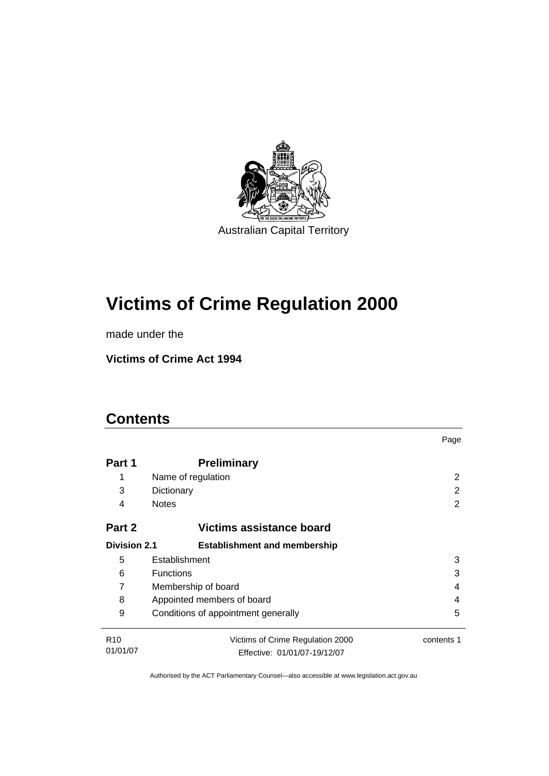

# **[Victims of Crime Regulation 2000](#page-6-0)**

made under the

**[Victims of Crime Act 1994](#page-6-0)** 

### **Contents**

|                     |                                          | Page       |  |
|---------------------|------------------------------------------|------------|--|
| Part 1              | <b>Preliminary</b>                       |            |  |
| 1                   | Name of regulation                       | 2          |  |
| 3                   | Dictionary                               | 2          |  |
| 4                   | <b>Notes</b>                             | 2          |  |
| Part 2              | Victims assistance board                 |            |  |
| <b>Division 2.1</b> | <b>Establishment and membership</b>      |            |  |
| 5                   | Establishment                            | 3          |  |
| 6                   | <b>Functions</b><br>3                    |            |  |
| 7                   | Membership of board<br>4                 |            |  |
| 8                   | Appointed members of board<br>4          |            |  |
| 9                   | 5<br>Conditions of appointment generally |            |  |
| R <sub>10</sub>     | Victims of Crime Regulation 2000         | contents 1 |  |
| 01/01/07            | Effective: 01/01/07-19/12/07             |            |  |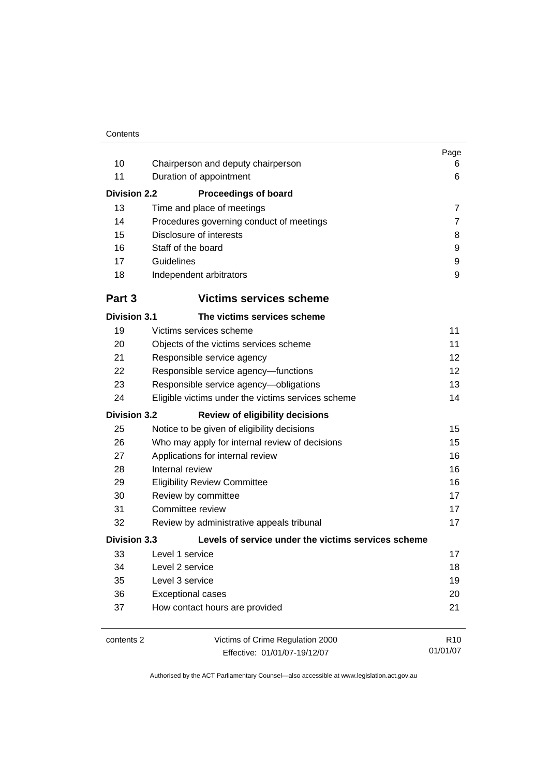|                     |                                                     | Page            |
|---------------------|-----------------------------------------------------|-----------------|
| 10                  | Chairperson and deputy chairperson                  | 6               |
| 11                  | Duration of appointment                             | 6               |
| <b>Division 2.2</b> | <b>Proceedings of board</b>                         |                 |
| 13                  | Time and place of meetings                          | $\overline{7}$  |
| 14                  | Procedures governing conduct of meetings            | 7               |
| 15                  | Disclosure of interests                             | 8               |
| 16                  | Staff of the board                                  | 9               |
| 17                  | Guidelines                                          | 9               |
| 18                  | Independent arbitrators                             | 9               |
| Part 3              | <b>Victims services scheme</b>                      |                 |
| <b>Division 3.1</b> | The victims services scheme                         |                 |
| 19                  | Victims services scheme                             | 11              |
| 20                  | Objects of the victims services scheme              | 11              |
| 21                  | Responsible service agency                          | 12              |
| 22                  | Responsible service agency-functions                | 12              |
| 23                  | Responsible service agency-obligations              | 13              |
| 24                  | Eligible victims under the victims services scheme  | 14              |
| <b>Division 3.2</b> | <b>Review of eligibility decisions</b>              |                 |
| 25                  | Notice to be given of eligibility decisions         | 15              |
| 26                  | Who may apply for internal review of decisions      | 15              |
| 27                  | Applications for internal review                    | 16              |
| 28                  | Internal review                                     | 16              |
| 29                  | <b>Eligibility Review Committee</b>                 | 16              |
| 30                  | Review by committee                                 | 17              |
| 31                  | Committee review                                    | 17              |
| 32                  | Review by administrative appeals tribunal           | 17              |
| <b>Division 3.3</b> | Levels of service under the victims services scheme |                 |
| 33                  | Level 1 service                                     | 17              |
| 34                  | Level 2 service                                     | 18              |
| 35                  | Level 3 service                                     | 19              |
| 36                  | <b>Exceptional cases</b>                            | 20              |
| 37                  | How contact hours are provided                      | 21              |
| contents 2          | Victims of Crime Regulation 2000                    | R <sub>10</sub> |
|                     | Effective: 01/01/07-19/12/07                        | 01/01/07        |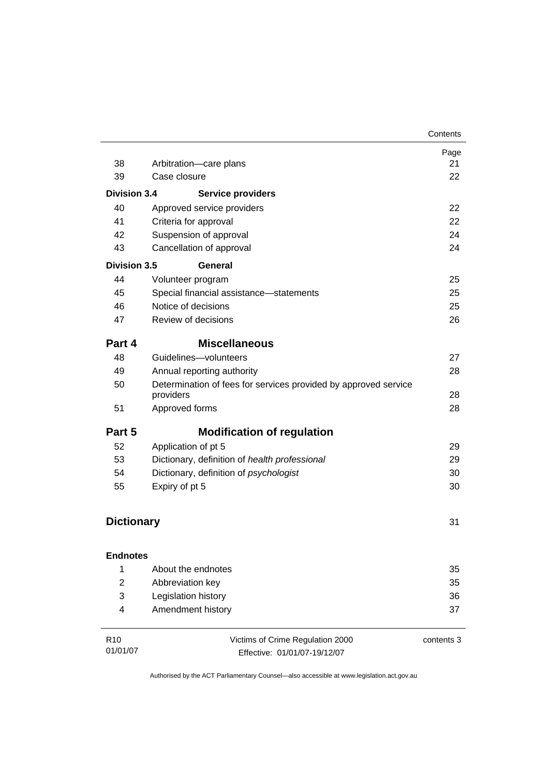|                             |                                                                              | Contents   |
|-----------------------------|------------------------------------------------------------------------------|------------|
|                             |                                                                              | Page       |
| 38                          | Arbitration-care plans<br>Case closure                                       | 21<br>22   |
| 39                          |                                                                              |            |
| <b>Division 3.4</b>         | <b>Service providers</b>                                                     |            |
| 40                          | Approved service providers                                                   | 22         |
| 41                          | Criteria for approval                                                        | 22         |
| 42                          | Suspension of approval                                                       | 24         |
| 43                          | Cancellation of approval                                                     | 24         |
| <b>Division 3.5</b>         | General                                                                      |            |
| 44                          | Volunteer program                                                            | 25         |
| 45                          | Special financial assistance-statements                                      | 25         |
| 46                          | Notice of decisions                                                          | 25         |
| 47                          | Review of decisions                                                          | 26         |
| Part 4                      | <b>Miscellaneous</b>                                                         |            |
| 48                          | Guidelines-volunteers                                                        | 27         |
| 49                          | Annual reporting authority                                                   | 28         |
| 50                          | Determination of fees for services provided by approved service<br>providers | 28         |
| 51                          | Approved forms                                                               | 28         |
| Part 5                      | <b>Modification of regulation</b>                                            |            |
| 52                          | Application of pt 5                                                          | 29         |
| 53                          | Dictionary, definition of health professional                                | 29         |
| 54                          | Dictionary, definition of psychologist                                       | 30         |
| 55                          | Expiry of pt 5                                                               | 30         |
| <b>Dictionary</b>           |                                                                              | 31         |
| <b>Endnotes</b>             |                                                                              |            |
| 1                           | About the endnotes                                                           | 35         |
| 2                           | Abbreviation key                                                             | 35         |
| 3                           | Legislation history                                                          | 36         |
| 4                           | Amendment history                                                            | 37         |
| R <sub>10</sub><br>01/01/07 | Victims of Crime Regulation 2000<br>Effective: 01/01/07-19/12/07             | contents 3 |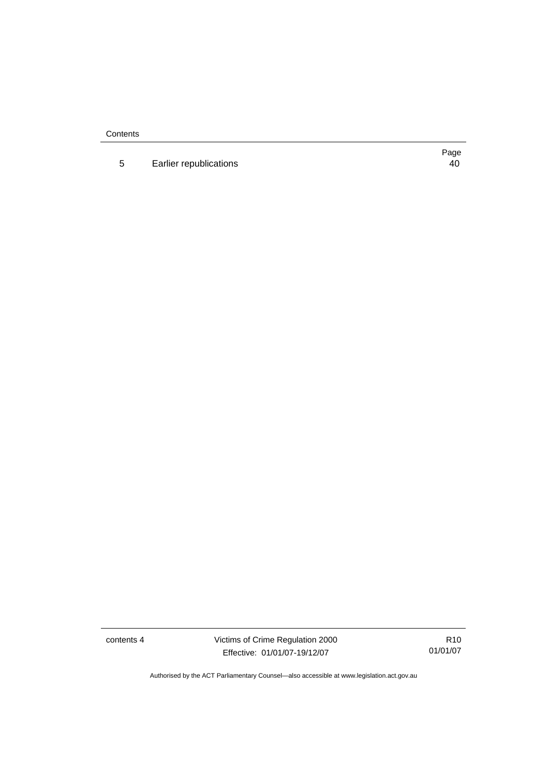**Contents** 

5 Earlier republications [40](#page-45-0)

Page

contents 4 Victims of Crime Regulation 2000 Effective: 01/01/07-19/12/07

R10 01/01/07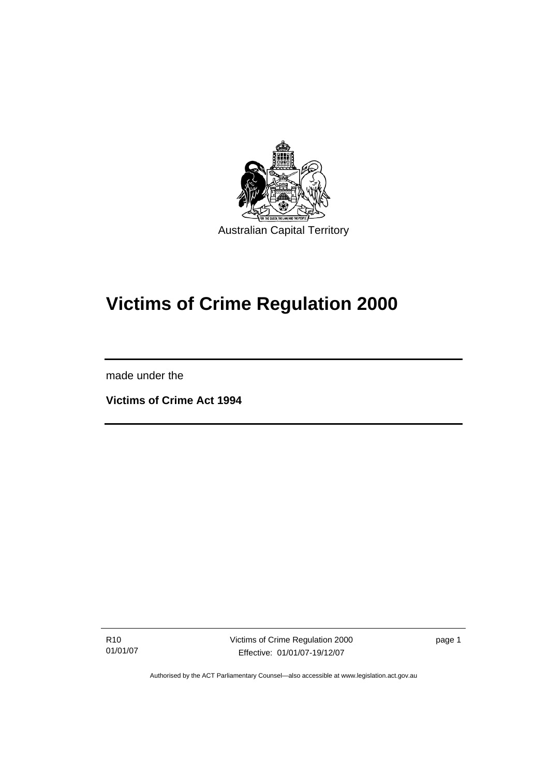<span id="page-6-0"></span>

# **Victims of Crime Regulation 2000**

made under the

l

**Victims of Crime Act 1994** 

R10 01/01/07 Victims of Crime Regulation 2000 Effective: 01/01/07-19/12/07

page 1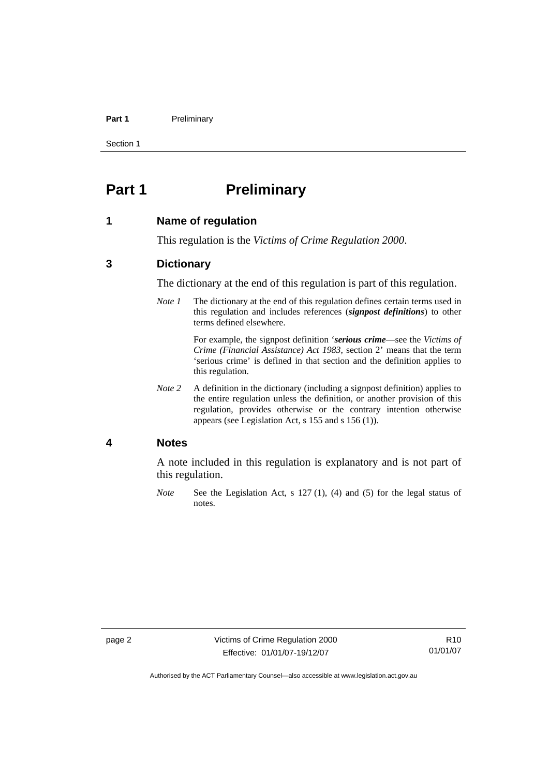#### <span id="page-7-0"></span>Part 1 **Preliminary**

Section 1

### **Part 1** Preliminary

#### **1 Name of regulation**

This regulation is the *Victims of Crime Regulation 2000*.

#### **3 Dictionary**

The dictionary at the end of this regulation is part of this regulation.

*Note 1* The dictionary at the end of this regulation defines certain terms used in this regulation and includes references (*signpost definitions*) to other terms defined elsewhere.

> For example, the signpost definition '*serious crime*—see the *Victims of Crime (Financial Assistance) Act 1983*, section 2' means that the term 'serious crime' is defined in that section and the definition applies to this regulation.

*Note 2* A definition in the dictionary (including a signpost definition) applies to the entire regulation unless the definition, or another provision of this regulation, provides otherwise or the contrary intention otherwise appears (see Legislation Act, s 155 and s 156 (1)).

#### **4 Notes**

A note included in this regulation is explanatory and is not part of this regulation.

*Note* See the Legislation Act, s 127 (1), (4) and (5) for the legal status of notes.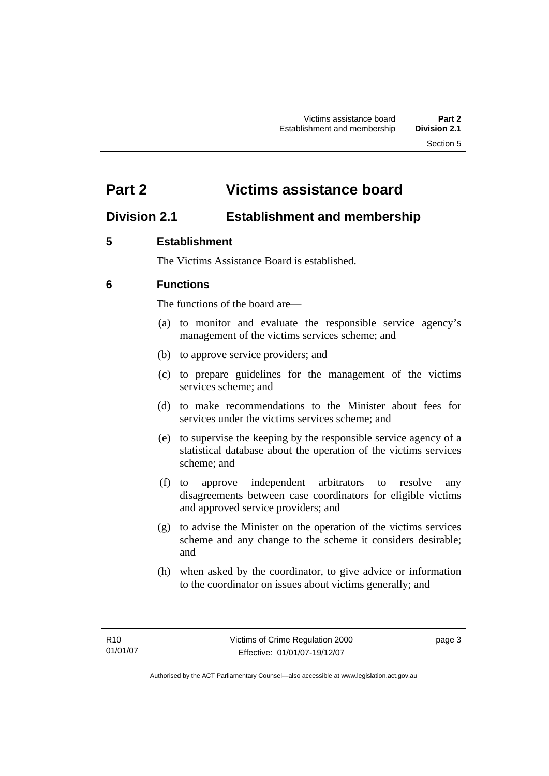### <span id="page-8-0"></span>**Part 2 Victims assistance board**

### **Division 2.1 Establishment and membership**

### **5 Establishment**

The Victims Assistance Board is established.

### **6 Functions**

The functions of the board are—

- (a) to monitor and evaluate the responsible service agency's management of the victims services scheme; and
- (b) to approve service providers; and
- (c) to prepare guidelines for the management of the victims services scheme; and
- (d) to make recommendations to the Minister about fees for services under the victims services scheme; and
- (e) to supervise the keeping by the responsible service agency of a statistical database about the operation of the victims services scheme; and
- (f) to approve independent arbitrators to resolve any disagreements between case coordinators for eligible victims and approved service providers; and
- (g) to advise the Minister on the operation of the victims services scheme and any change to the scheme it considers desirable; and
- (h) when asked by the coordinator, to give advice or information to the coordinator on issues about victims generally; and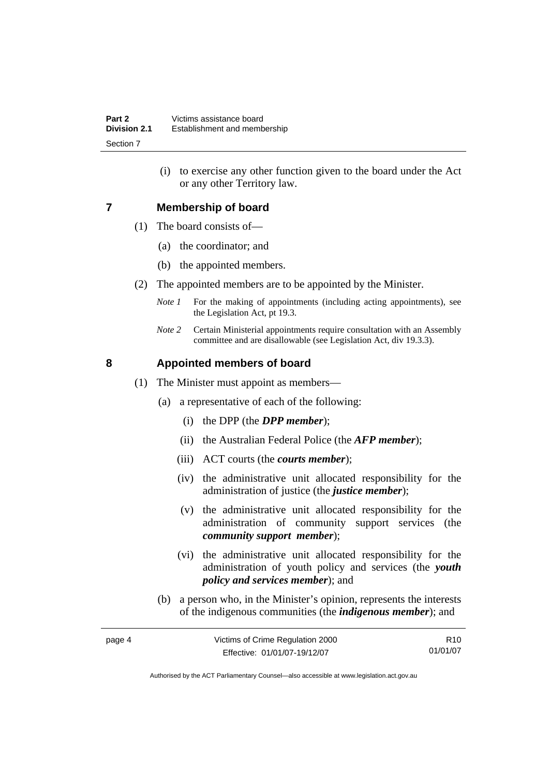(i) to exercise any other function given to the board under the Act or any other Territory law.

#### <span id="page-9-0"></span>**7 Membership of board**

- (1) The board consists of—
	- (a) the coordinator; and
	- (b) the appointed members.
- (2) The appointed members are to be appointed by the Minister.
	- *Note 1* For the making of appointments (including acting appointments), see the Legislation Act, pt 19.3.
	- *Note 2* Certain Ministerial appointments require consultation with an Assembly committee and are disallowable (see Legislation Act, div 19.3.3).

#### **8 Appointed members of board**

- (1) The Minister must appoint as members—
	- (a) a representative of each of the following:
		- (i) the DPP (the *DPP member*);
		- (ii) the Australian Federal Police (the *AFP member*);
		- (iii) ACT courts (the *courts member*);
		- (iv) the administrative unit allocated responsibility for the administration of justice (the *justice member*);
		- (v) the administrative unit allocated responsibility for the administration of community support services (the *community support member*);
		- (vi) the administrative unit allocated responsibility for the administration of youth policy and services (the *youth policy and services member*); and
	- (b) a person who, in the Minister's opinion, represents the interests of the indigenous communities (the *indigenous member*); and

| page 4 | Victims of Crime Regulation 2000 | R10      |
|--------|----------------------------------|----------|
|        | Effective: 01/01/07-19/12/07     | 01/01/07 |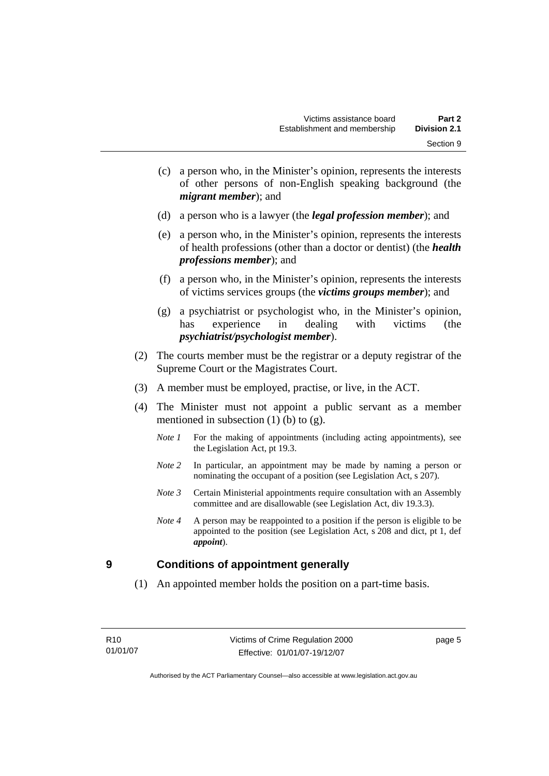- <span id="page-10-0"></span> (c) a person who, in the Minister's opinion, represents the interests of other persons of non-English speaking background (the *migrant member*); and
- (d) a person who is a lawyer (the *legal profession member*); and
- (e) a person who, in the Minister's opinion, represents the interests of health professions (other than a doctor or dentist) (the *health professions member*); and
- (f) a person who, in the Minister's opinion, represents the interests of victims services groups (the *victims groups member*); and
- (g) a psychiatrist or psychologist who, in the Minister's opinion, has experience in dealing with victims (the *psychiatrist/psychologist member*).
- (2) The courts member must be the registrar or a deputy registrar of the Supreme Court or the Magistrates Court.
- (3) A member must be employed, practise, or live, in the ACT.
- (4) The Minister must not appoint a public servant as a member mentioned in subsection  $(1)$  (b) to  $(g)$ .
	- *Note 1* For the making of appointments (including acting appointments), see the Legislation Act, pt 19.3.
	- *Note* 2 In particular, an appointment may be made by naming a person or nominating the occupant of a position (see Legislation Act, s 207).
	- *Note 3* Certain Ministerial appointments require consultation with an Assembly committee and are disallowable (see Legislation Act, div 19.3.3).
	- *Note 4* A person may be reappointed to a position if the person is eligible to be appointed to the position (see Legislation Act, s 208 and dict, pt 1, def *appoint*).

#### **9 Conditions of appointment generally**

(1) An appointed member holds the position on a part-time basis.

page 5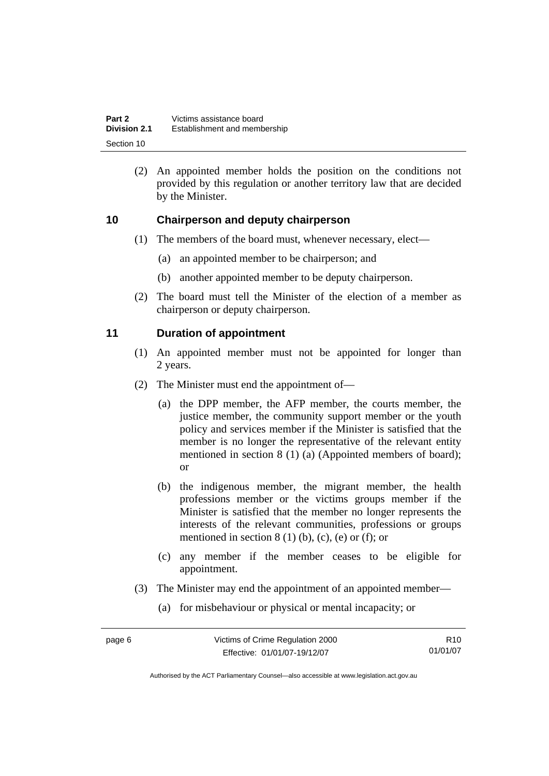<span id="page-11-0"></span>

| Part 2              | Victims assistance board     |
|---------------------|------------------------------|
| <b>Division 2.1</b> | Establishment and membership |
| Section 10          |                              |

 (2) An appointed member holds the position on the conditions not provided by this regulation or another territory law that are decided by the Minister.

#### **10 Chairperson and deputy chairperson**

- (1) The members of the board must, whenever necessary, elect—
	- (a) an appointed member to be chairperson; and
	- (b) another appointed member to be deputy chairperson.
- (2) The board must tell the Minister of the election of a member as chairperson or deputy chairperson.

#### **11 Duration of appointment**

- (1) An appointed member must not be appointed for longer than 2 years.
- (2) The Minister must end the appointment of—
	- (a) the DPP member, the AFP member, the courts member, the justice member, the community support member or the youth policy and services member if the Minister is satisfied that the member is no longer the representative of the relevant entity mentioned in section 8 (1) (a) (Appointed members of board); or
	- (b) the indigenous member, the migrant member, the health professions member or the victims groups member if the Minister is satisfied that the member no longer represents the interests of the relevant communities, professions or groups mentioned in section  $8(1)$  (b), (c), (e) or (f); or
	- (c) any member if the member ceases to be eligible for appointment.
- (3) The Minister may end the appointment of an appointed member—
	- (a) for misbehaviour or physical or mental incapacity; or

R10 01/01/07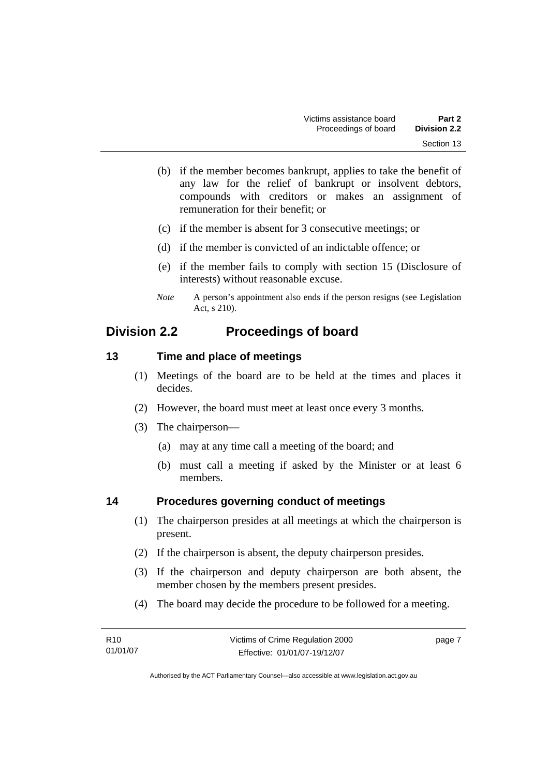- <span id="page-12-0"></span> (b) if the member becomes bankrupt, applies to take the benefit of any law for the relief of bankrupt or insolvent debtors, compounds with creditors or makes an assignment of remuneration for their benefit; or
- (c) if the member is absent for 3 consecutive meetings; or
- (d) if the member is convicted of an indictable offence; or
- (e) if the member fails to comply with section 15 (Disclosure of interests) without reasonable excuse.
- *Note* A person's appointment also ends if the person resigns (see Legislation Act, s 210).

### **Division 2.2 Proceedings of board**

#### **13 Time and place of meetings**

- (1) Meetings of the board are to be held at the times and places it decides.
- (2) However, the board must meet at least once every 3 months.
- (3) The chairperson—
	- (a) may at any time call a meeting of the board; and
	- (b) must call a meeting if asked by the Minister or at least 6 members.

#### **14 Procedures governing conduct of meetings**

- (1) The chairperson presides at all meetings at which the chairperson is present.
- (2) If the chairperson is absent, the deputy chairperson presides.
- (3) If the chairperson and deputy chairperson are both absent, the member chosen by the members present presides.
- (4) The board may decide the procedure to be followed for a meeting.

| R10      | Victims of Crime Regulation 2000 | page 7 |
|----------|----------------------------------|--------|
| 01/01/07 | Effective: 01/01/07-19/12/07     |        |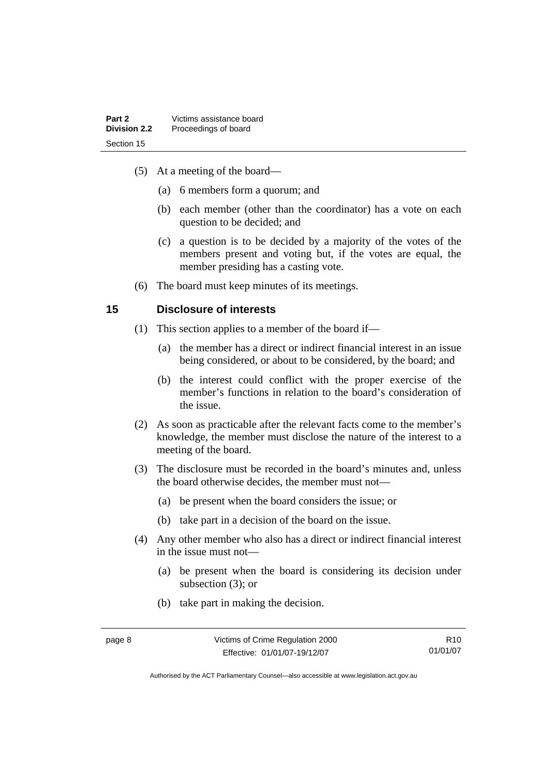- <span id="page-13-0"></span> (5) At a meeting of the board—
	- (a) 6 members form a quorum; and
	- (b) each member (other than the coordinator) has a vote on each question to be decided; and
	- (c) a question is to be decided by a majority of the votes of the members present and voting but, if the votes are equal, the member presiding has a casting vote.
- (6) The board must keep minutes of its meetings.

#### **15 Disclosure of interests**

- (1) This section applies to a member of the board if—
	- (a) the member has a direct or indirect financial interest in an issue being considered, or about to be considered, by the board; and
	- (b) the interest could conflict with the proper exercise of the member's functions in relation to the board's consideration of the issue.
- (2) As soon as practicable after the relevant facts come to the member's knowledge, the member must disclose the nature of the interest to a meeting of the board.
- (3) The disclosure must be recorded in the board's minutes and, unless the board otherwise decides, the member must not—
	- (a) be present when the board considers the issue; or
	- (b) take part in a decision of the board on the issue.
- (4) Any other member who also has a direct or indirect financial interest in the issue must not—
	- (a) be present when the board is considering its decision under subsection (3); or
	- (b) take part in making the decision.

R10 01/01/07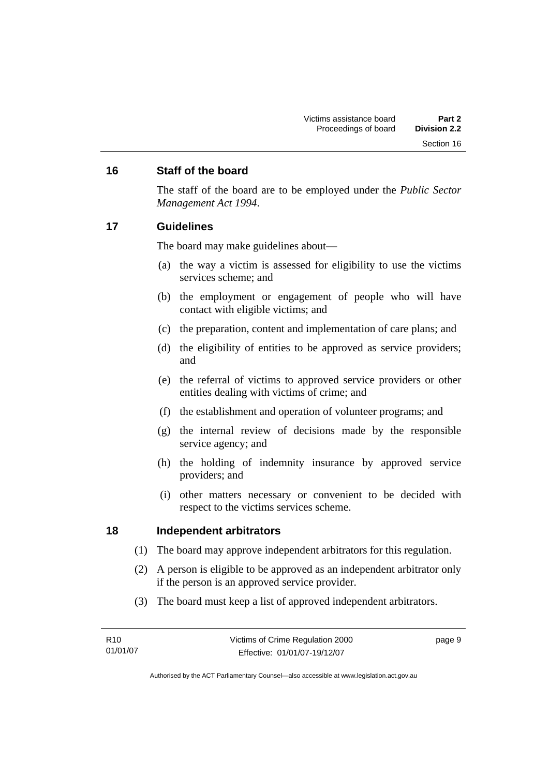#### <span id="page-14-0"></span>**16 Staff of the board**

The staff of the board are to be employed under the *Public Sector Management Act 1994*.

#### **17 Guidelines**

The board may make guidelines about—

- (a) the way a victim is assessed for eligibility to use the victims services scheme; and
- (b) the employment or engagement of people who will have contact with eligible victims; and
- (c) the preparation, content and implementation of care plans; and
- (d) the eligibility of entities to be approved as service providers; and
- (e) the referral of victims to approved service providers or other entities dealing with victims of crime; and
- (f) the establishment and operation of volunteer programs; and
- (g) the internal review of decisions made by the responsible service agency; and
- (h) the holding of indemnity insurance by approved service providers; and
- (i) other matters necessary or convenient to be decided with respect to the victims services scheme.

#### **18 Independent arbitrators**

- (1) The board may approve independent arbitrators for this regulation.
- (2) A person is eligible to be approved as an independent arbitrator only if the person is an approved service provider.
- (3) The board must keep a list of approved independent arbitrators.

| R10      | Victims of Crime Regulation 2000 | page 9 |
|----------|----------------------------------|--------|
| 01/01/07 | Effective: 01/01/07-19/12/07     |        |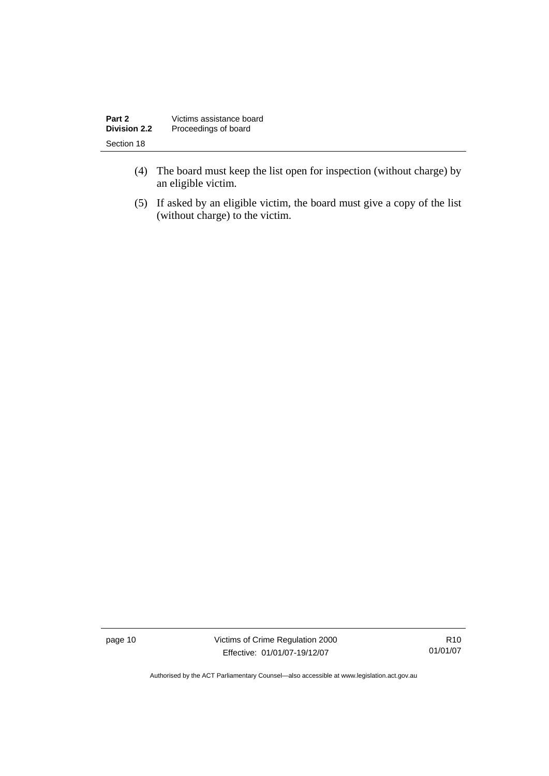| Part 2              | Victims assistance board |
|---------------------|--------------------------|
| <b>Division 2.2</b> | Proceedings of board     |
| Section 18          |                          |

- (4) The board must keep the list open for inspection (without charge) by an eligible victim.
- (5) If asked by an eligible victim, the board must give a copy of the list (without charge) to the victim.

page 10 Victims of Crime Regulation 2000 Effective: 01/01/07-19/12/07

R10 01/01/07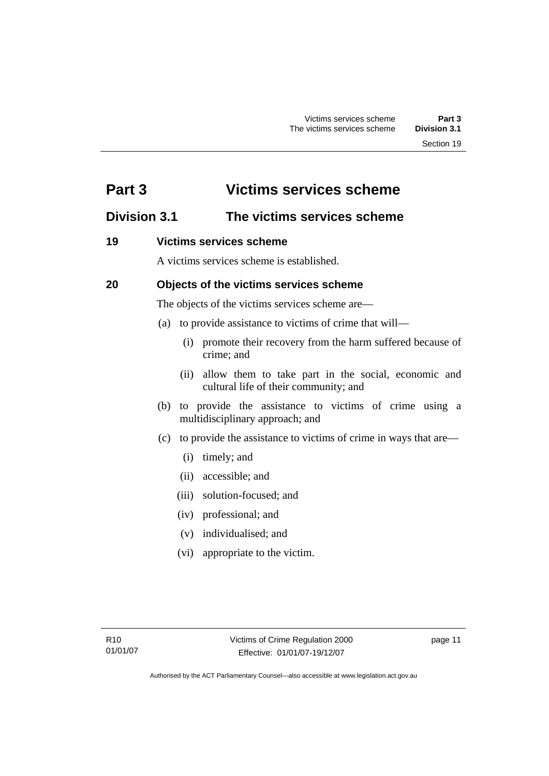### <span id="page-16-0"></span>**Part 3 Victims services scheme**

### **Division 3.1 The victims services scheme**

### **19 Victims services scheme**

A victims services scheme is established.

### **20 Objects of the victims services scheme**

The objects of the victims services scheme are—

- (a) to provide assistance to victims of crime that will—
	- (i) promote their recovery from the harm suffered because of crime; and
	- (ii) allow them to take part in the social, economic and cultural life of their community; and
- (b) to provide the assistance to victims of crime using a multidisciplinary approach; and
- (c) to provide the assistance to victims of crime in ways that are—
	- (i) timely; and
	- (ii) accessible; and
	- (iii) solution-focused; and
	- (iv) professional; and
	- (v) individualised; and
	- (vi) appropriate to the victim.

page 11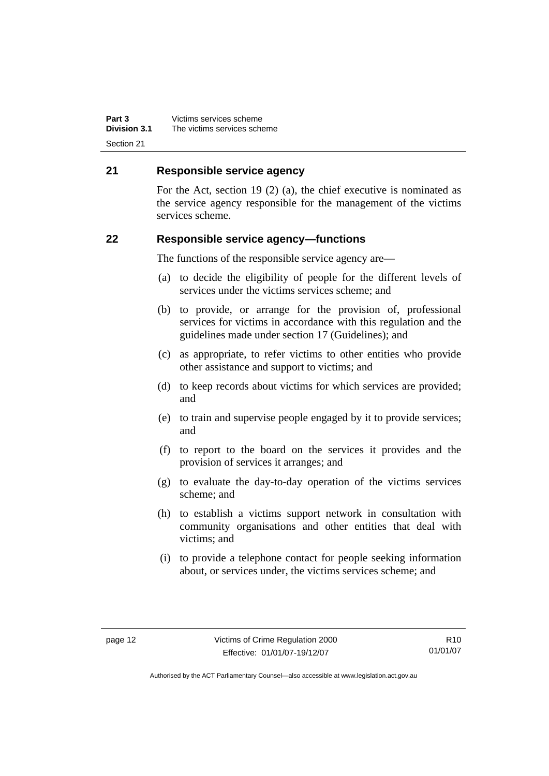<span id="page-17-0"></span>**Part 3** Victims services scheme<br>**Division 3.1** The victims services sche **Division 3.1** The victims services scheme Section 21

#### **21 Responsible service agency**

For the Act, section 19 (2) (a), the chief executive is nominated as the service agency responsible for the management of the victims services scheme.

#### **22 Responsible service agency—functions**

The functions of the responsible service agency are—

- (a) to decide the eligibility of people for the different levels of services under the victims services scheme; and
- (b) to provide, or arrange for the provision of, professional services for victims in accordance with this regulation and the guidelines made under section 17 (Guidelines); and
- (c) as appropriate, to refer victims to other entities who provide other assistance and support to victims; and
- (d) to keep records about victims for which services are provided; and
- (e) to train and supervise people engaged by it to provide services; and
- (f) to report to the board on the services it provides and the provision of services it arranges; and
- (g) to evaluate the day-to-day operation of the victims services scheme; and
- (h) to establish a victims support network in consultation with community organisations and other entities that deal with victims; and
- (i) to provide a telephone contact for people seeking information about, or services under, the victims services scheme; and

R10 01/01/07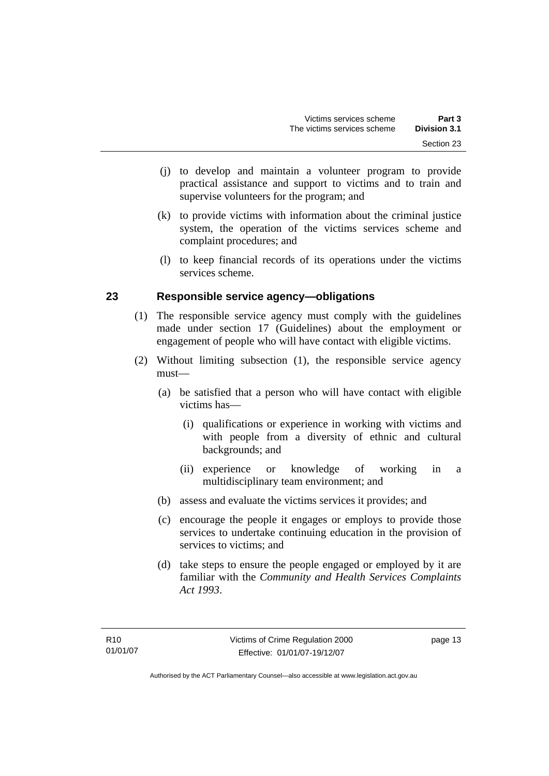- <span id="page-18-0"></span> (j) to develop and maintain a volunteer program to provide practical assistance and support to victims and to train and supervise volunteers for the program; and
- (k) to provide victims with information about the criminal justice system, the operation of the victims services scheme and complaint procedures; and
- (l) to keep financial records of its operations under the victims services scheme.

#### **23 Responsible service agency—obligations**

- (1) The responsible service agency must comply with the guidelines made under section 17 (Guidelines) about the employment or engagement of people who will have contact with eligible victims.
- (2) Without limiting subsection (1), the responsible service agency must—
	- (a) be satisfied that a person who will have contact with eligible victims has—
		- (i) qualifications or experience in working with victims and with people from a diversity of ethnic and cultural backgrounds; and
		- (ii) experience or knowledge of working in a multidisciplinary team environment; and
	- (b) assess and evaluate the victims services it provides; and
	- (c) encourage the people it engages or employs to provide those services to undertake continuing education in the provision of services to victims; and
	- (d) take steps to ensure the people engaged or employed by it are familiar with the *Community and Health Services Complaints Act 1993*.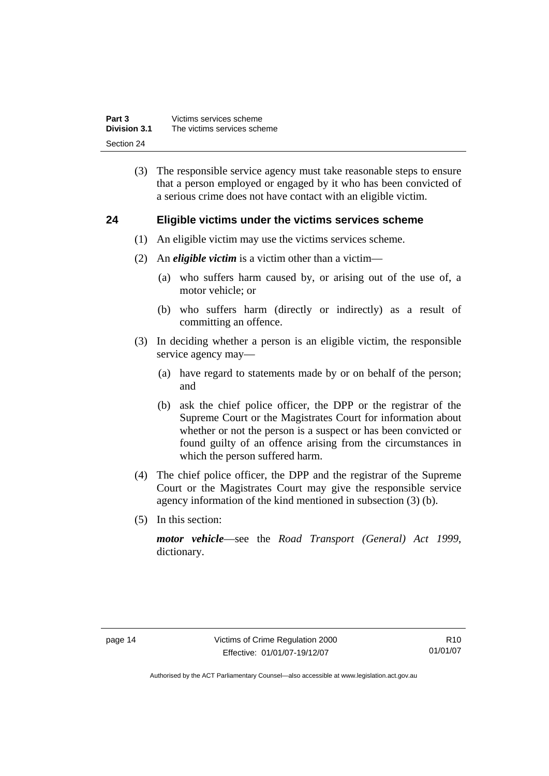<span id="page-19-0"></span>

| Part 3              | Victims services scheme     |
|---------------------|-----------------------------|
| <b>Division 3.1</b> | The victims services scheme |
| Section 24          |                             |

 (3) The responsible service agency must take reasonable steps to ensure that a person employed or engaged by it who has been convicted of a serious crime does not have contact with an eligible victim.

#### **24 Eligible victims under the victims services scheme**

- (1) An eligible victim may use the victims services scheme.
- (2) An *eligible victim* is a victim other than a victim—
	- (a) who suffers harm caused by, or arising out of the use of, a motor vehicle; or
	- (b) who suffers harm (directly or indirectly) as a result of committing an offence.
- (3) In deciding whether a person is an eligible victim, the responsible service agency may—
	- (a) have regard to statements made by or on behalf of the person; and
	- (b) ask the chief police officer, the DPP or the registrar of the Supreme Court or the Magistrates Court for information about whether or not the person is a suspect or has been convicted or found guilty of an offence arising from the circumstances in which the person suffered harm.
- (4) The chief police officer, the DPP and the registrar of the Supreme Court or the Magistrates Court may give the responsible service agency information of the kind mentioned in subsection (3) (b).
- (5) In this section:

*motor vehicle*—see the *Road Transport (General) Act 1999*, dictionary.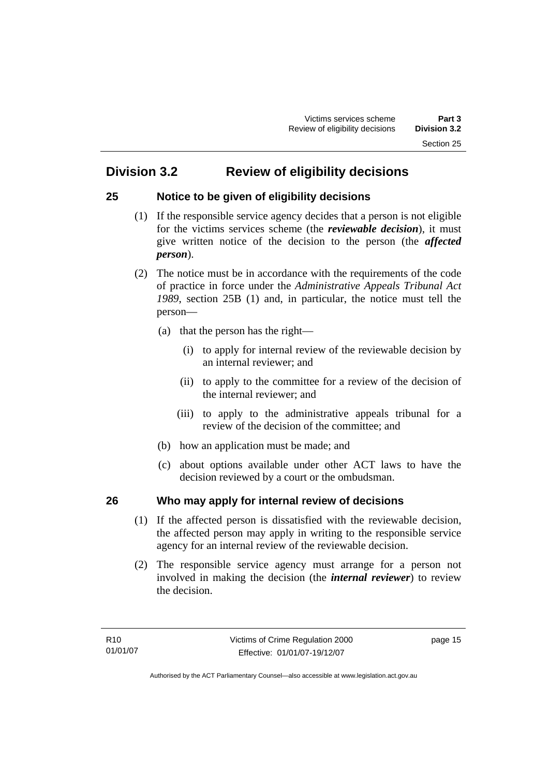### <span id="page-20-0"></span>**Division 3.2 Review of eligibility decisions**

#### **25 Notice to be given of eligibility decisions**

- (1) If the responsible service agency decides that a person is not eligible for the victims services scheme (the *reviewable decision*), it must give written notice of the decision to the person (the *affected person*).
- (2) The notice must be in accordance with the requirements of the code of practice in force under the *Administrative Appeals Tribunal Act 1989*, section 25B (1) and, in particular, the notice must tell the person—
	- (a) that the person has the right—
		- (i) to apply for internal review of the reviewable decision by an internal reviewer; and
		- (ii) to apply to the committee for a review of the decision of the internal reviewer; and
		- (iii) to apply to the administrative appeals tribunal for a review of the decision of the committee; and
	- (b) how an application must be made; and
	- (c) about options available under other ACT laws to have the decision reviewed by a court or the ombudsman.

#### **26 Who may apply for internal review of decisions**

- (1) If the affected person is dissatisfied with the reviewable decision, the affected person may apply in writing to the responsible service agency for an internal review of the reviewable decision.
- (2) The responsible service agency must arrange for a person not involved in making the decision (the *internal reviewer*) to review the decision.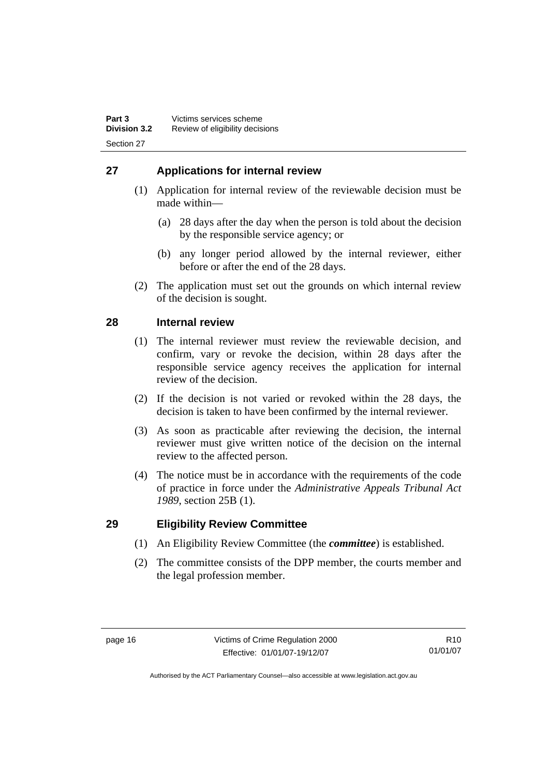#### <span id="page-21-0"></span>**27 Applications for internal review**

- (1) Application for internal review of the reviewable decision must be made within—
	- (a) 28 days after the day when the person is told about the decision by the responsible service agency; or
	- (b) any longer period allowed by the internal reviewer, either before or after the end of the 28 days.
- (2) The application must set out the grounds on which internal review of the decision is sought.

#### **28 Internal review**

- (1) The internal reviewer must review the reviewable decision, and confirm, vary or revoke the decision, within 28 days after the responsible service agency receives the application for internal review of the decision.
- (2) If the decision is not varied or revoked within the 28 days, the decision is taken to have been confirmed by the internal reviewer.
- (3) As soon as practicable after reviewing the decision, the internal reviewer must give written notice of the decision on the internal review to the affected person.
- (4) The notice must be in accordance with the requirements of the code of practice in force under the *Administrative Appeals Tribunal Act 1989*, section 25B (1).

#### **29 Eligibility Review Committee**

- (1) An Eligibility Review Committee (the *committee*) is established.
- (2) The committee consists of the DPP member, the courts member and the legal profession member.

R10 01/01/07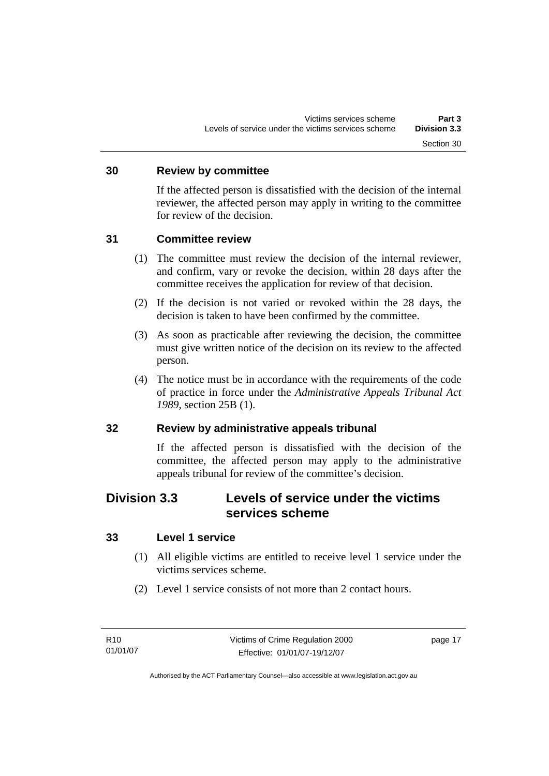#### <span id="page-22-0"></span>**30 Review by committee**

If the affected person is dissatisfied with the decision of the internal reviewer, the affected person may apply in writing to the committee for review of the decision.

#### **31 Committee review**

- (1) The committee must review the decision of the internal reviewer, and confirm, vary or revoke the decision, within 28 days after the committee receives the application for review of that decision.
- (2) If the decision is not varied or revoked within the 28 days, the decision is taken to have been confirmed by the committee.
- (3) As soon as practicable after reviewing the decision, the committee must give written notice of the decision on its review to the affected person.
- (4) The notice must be in accordance with the requirements of the code of practice in force under the *Administrative Appeals Tribunal Act 1989*, section 25B (1).

#### **32 Review by administrative appeals tribunal**

If the affected person is dissatisfied with the decision of the committee, the affected person may apply to the administrative appeals tribunal for review of the committee's decision.

### **Division 3.3 Levels of service under the victims services scheme**

#### **33 Level 1 service**

- (1) All eligible victims are entitled to receive level 1 service under the victims services scheme.
- (2) Level 1 service consists of not more than 2 contact hours.

page 17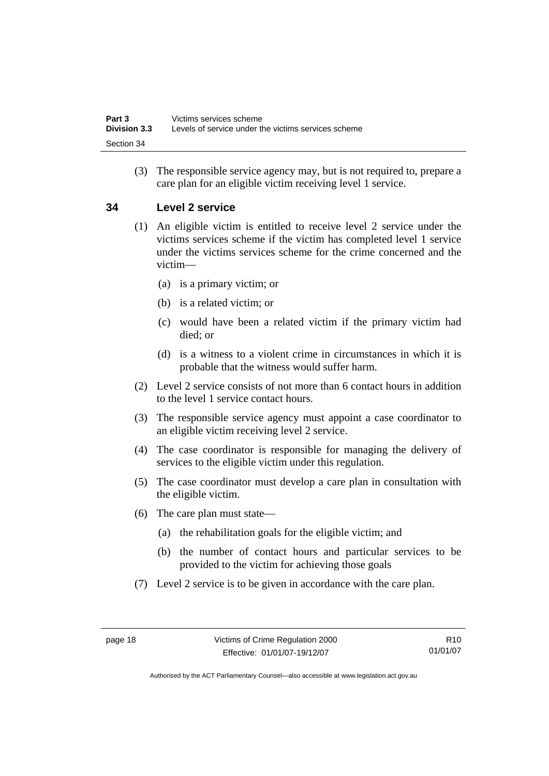<span id="page-23-0"></span> (3) The responsible service agency may, but is not required to, prepare a care plan for an eligible victim receiving level 1 service.

#### **34 Level 2 service**

- (1) An eligible victim is entitled to receive level 2 service under the victims services scheme if the victim has completed level 1 service under the victims services scheme for the crime concerned and the victim—
	- (a) is a primary victim; or
	- (b) is a related victim; or
	- (c) would have been a related victim if the primary victim had died; or
	- (d) is a witness to a violent crime in circumstances in which it is probable that the witness would suffer harm.
- (2) Level 2 service consists of not more than 6 contact hours in addition to the level 1 service contact hours.
- (3) The responsible service agency must appoint a case coordinator to an eligible victim receiving level 2 service.
- (4) The case coordinator is responsible for managing the delivery of services to the eligible victim under this regulation.
- (5) The case coordinator must develop a care plan in consultation with the eligible victim.
- (6) The care plan must state—
	- (a) the rehabilitation goals for the eligible victim; and
	- (b) the number of contact hours and particular services to be provided to the victim for achieving those goals
- (7) Level 2 service is to be given in accordance with the care plan.

R10 01/01/07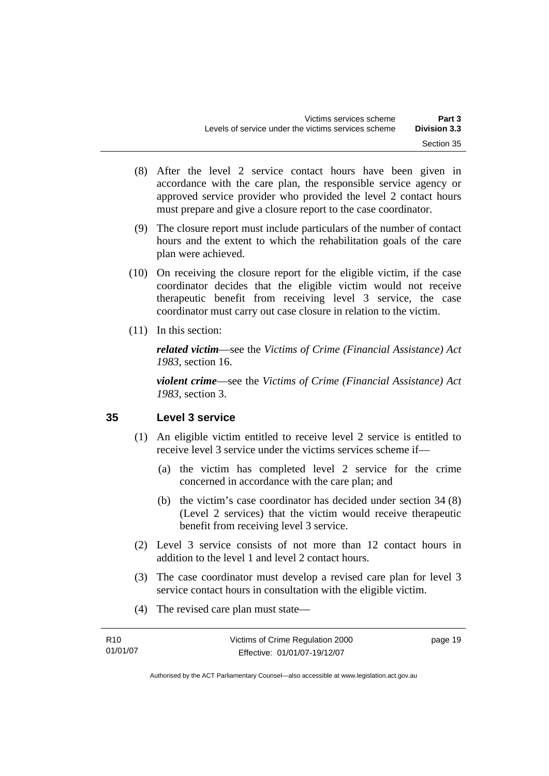- <span id="page-24-0"></span> (8) After the level 2 service contact hours have been given in accordance with the care plan, the responsible service agency or approved service provider who provided the level 2 contact hours must prepare and give a closure report to the case coordinator.
- (9) The closure report must include particulars of the number of contact hours and the extent to which the rehabilitation goals of the care plan were achieved.
- (10) On receiving the closure report for the eligible victim, if the case coordinator decides that the eligible victim would not receive therapeutic benefit from receiving level 3 service, the case coordinator must carry out case closure in relation to the victim.
- (11) In this section:

*related victim*—see the *Victims of Crime (Financial Assistance) Act 1983*, section 16.

*violent crime*—see the *Victims of Crime (Financial Assistance) Act 1983*, section 3.

#### **35 Level 3 service**

- (1) An eligible victim entitled to receive level 2 service is entitled to receive level 3 service under the victims services scheme if—
	- (a) the victim has completed level 2 service for the crime concerned in accordance with the care plan; and
	- (b) the victim's case coordinator has decided under section 34 (8) (Level 2 services) that the victim would receive therapeutic benefit from receiving level 3 service.
- (2) Level 3 service consists of not more than 12 contact hours in addition to the level 1 and level 2 contact hours.
- (3) The case coordinator must develop a revised care plan for level 3 service contact hours in consultation with the eligible victim.
- (4) The revised care plan must state—

| R10      | Victims of Crime Regulation 2000 | page 19 |
|----------|----------------------------------|---------|
| 01/01/07 | Effective: 01/01/07-19/12/07     |         |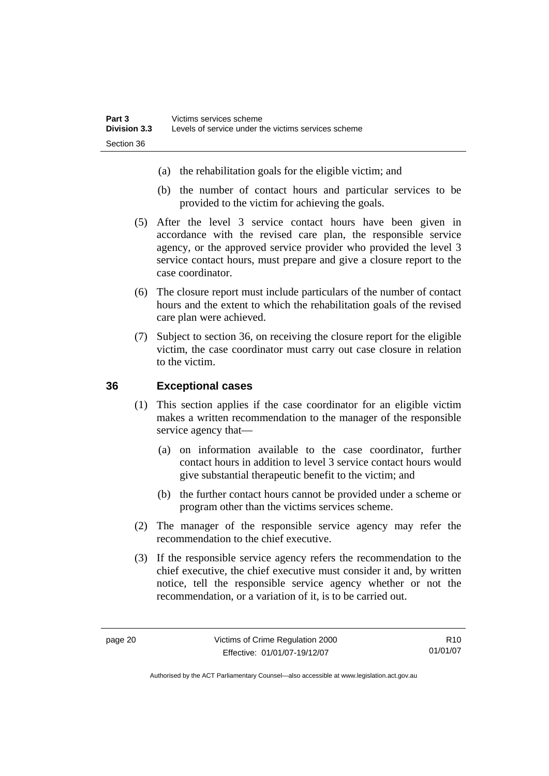- <span id="page-25-0"></span>(a) the rehabilitation goals for the eligible victim; and
- (b) the number of contact hours and particular services to be provided to the victim for achieving the goals.
- (5) After the level 3 service contact hours have been given in accordance with the revised care plan, the responsible service agency, or the approved service provider who provided the level 3 service contact hours, must prepare and give a closure report to the case coordinator.
- (6) The closure report must include particulars of the number of contact hours and the extent to which the rehabilitation goals of the revised care plan were achieved.
- (7) Subject to section 36, on receiving the closure report for the eligible victim, the case coordinator must carry out case closure in relation to the victim.

#### **36 Exceptional cases**

- (1) This section applies if the case coordinator for an eligible victim makes a written recommendation to the manager of the responsible service agency that—
	- (a) on information available to the case coordinator, further contact hours in addition to level 3 service contact hours would give substantial therapeutic benefit to the victim; and
	- (b) the further contact hours cannot be provided under a scheme or program other than the victims services scheme.
- (2) The manager of the responsible service agency may refer the recommendation to the chief executive.
- (3) If the responsible service agency refers the recommendation to the chief executive, the chief executive must consider it and, by written notice, tell the responsible service agency whether or not the recommendation, or a variation of it, is to be carried out.

R10 01/01/07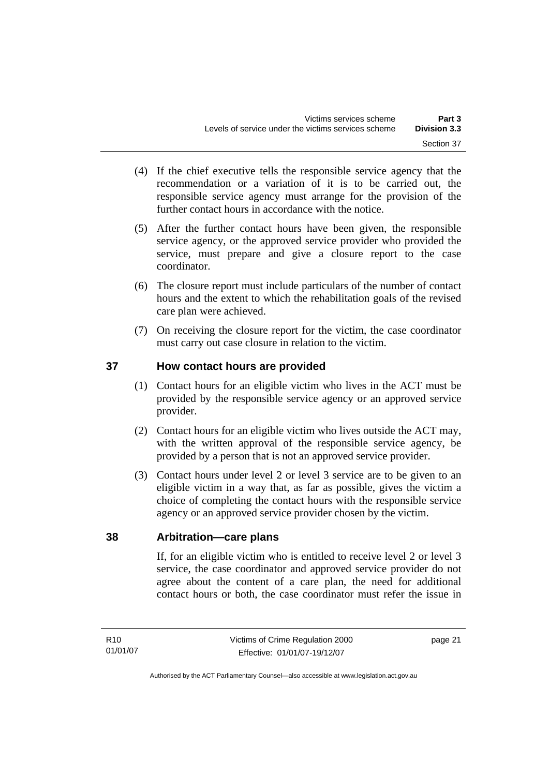- <span id="page-26-0"></span> (4) If the chief executive tells the responsible service agency that the recommendation or a variation of it is to be carried out, the responsible service agency must arrange for the provision of the further contact hours in accordance with the notice.
- (5) After the further contact hours have been given, the responsible service agency, or the approved service provider who provided the service, must prepare and give a closure report to the case coordinator.
- (6) The closure report must include particulars of the number of contact hours and the extent to which the rehabilitation goals of the revised care plan were achieved.
- (7) On receiving the closure report for the victim, the case coordinator must carry out case closure in relation to the victim.

#### **37 How contact hours are provided**

- (1) Contact hours for an eligible victim who lives in the ACT must be provided by the responsible service agency or an approved service provider.
- (2) Contact hours for an eligible victim who lives outside the ACT may, with the written approval of the responsible service agency, be provided by a person that is not an approved service provider.
- (3) Contact hours under level 2 or level 3 service are to be given to an eligible victim in a way that, as far as possible, gives the victim a choice of completing the contact hours with the responsible service agency or an approved service provider chosen by the victim.

#### **38 Arbitration—care plans**

If, for an eligible victim who is entitled to receive level 2 or level 3 service, the case coordinator and approved service provider do not agree about the content of a care plan, the need for additional contact hours or both, the case coordinator must refer the issue in

page 21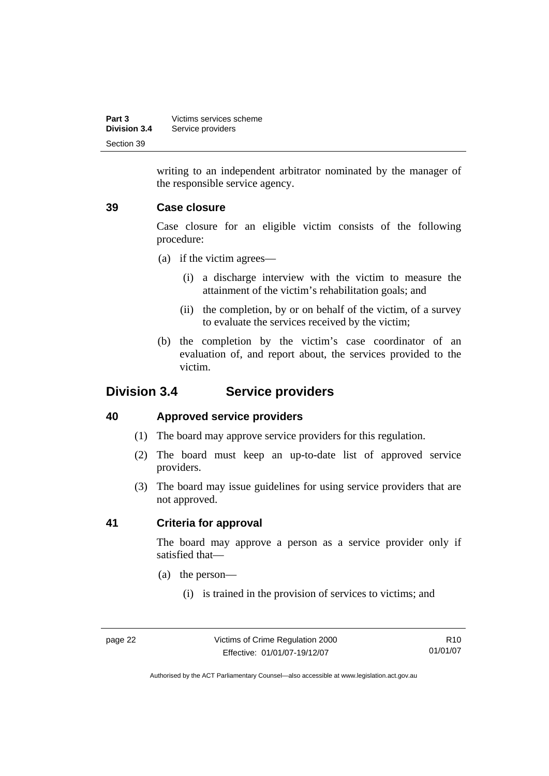<span id="page-27-0"></span>

| Part 3              | Victims services scheme |
|---------------------|-------------------------|
| <b>Division 3.4</b> | Service providers       |
| Section 39          |                         |

writing to an independent arbitrator nominated by the manager of the responsible service agency.

#### **39 Case closure**

Case closure for an eligible victim consists of the following procedure:

- (a) if the victim agrees—
	- (i) a discharge interview with the victim to measure the attainment of the victim's rehabilitation goals; and
	- (ii) the completion, by or on behalf of the victim, of a survey to evaluate the services received by the victim;
- (b) the completion by the victim's case coordinator of an evaluation of, and report about, the services provided to the victim.

#### **Division 3.4 Service providers**

#### **40 Approved service providers**

- (1) The board may approve service providers for this regulation.
- (2) The board must keep an up-to-date list of approved service providers.
- (3) The board may issue guidelines for using service providers that are not approved.

#### **41 Criteria for approval**

The board may approve a person as a service provider only if satisfied that—

- (a) the person—
	- (i) is trained in the provision of services to victims; and

R10 01/01/07

Authorised by the ACT Parliamentary Counsel—also accessible at www.legislation.act.gov.au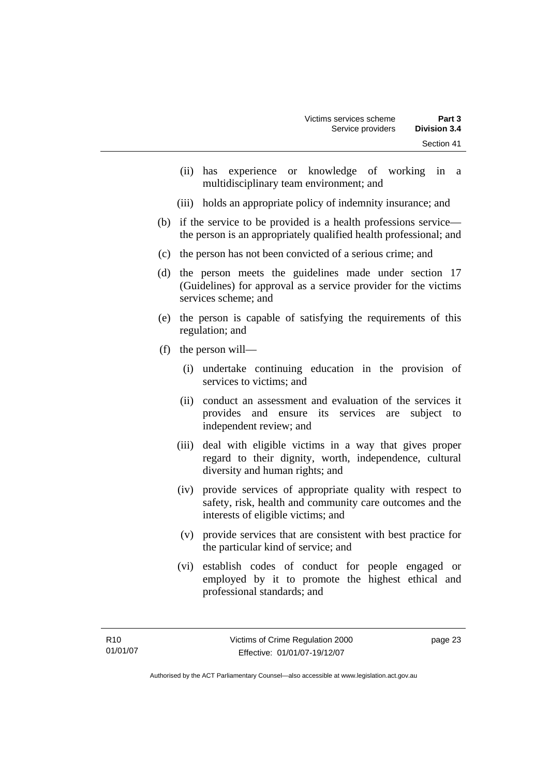- (ii) has experience or knowledge of working in a multidisciplinary team environment; and
- (iii) holds an appropriate policy of indemnity insurance; and
- (b) if the service to be provided is a health professions service the person is an appropriately qualified health professional; and
- (c) the person has not been convicted of a serious crime; and
- (d) the person meets the guidelines made under section 17 (Guidelines) for approval as a service provider for the victims services scheme; and
- (e) the person is capable of satisfying the requirements of this regulation; and
- (f) the person will—
	- (i) undertake continuing education in the provision of services to victims; and
	- (ii) conduct an assessment and evaluation of the services it provides and ensure its services are subject to independent review; and
	- (iii) deal with eligible victims in a way that gives proper regard to their dignity, worth, independence, cultural diversity and human rights; and
	- (iv) provide services of appropriate quality with respect to safety, risk, health and community care outcomes and the interests of eligible victims; and
	- (v) provide services that are consistent with best practice for the particular kind of service; and
	- (vi) establish codes of conduct for people engaged or employed by it to promote the highest ethical and professional standards; and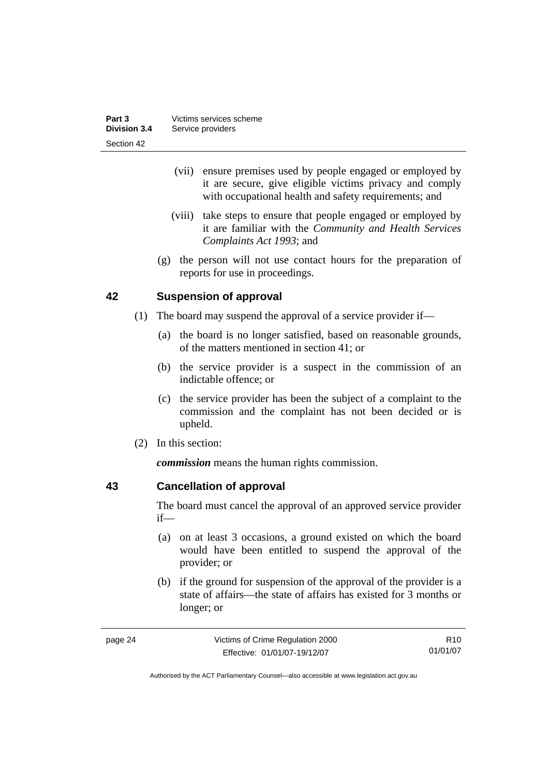<span id="page-29-0"></span>

| Part 3       | Victims services scheme |
|--------------|-------------------------|
| Division 3.4 | Service providers       |
| Section 42   |                         |

- (vii) ensure premises used by people engaged or employed by it are secure, give eligible victims privacy and comply with occupational health and safety requirements; and
- (viii) take steps to ensure that people engaged or employed by it are familiar with the *Community and Health Services Complaints Act 1993*; and
- (g) the person will not use contact hours for the preparation of reports for use in proceedings.

#### **42 Suspension of approval**

- (1) The board may suspend the approval of a service provider if—
	- (a) the board is no longer satisfied, based on reasonable grounds, of the matters mentioned in section 41; or
	- (b) the service provider is a suspect in the commission of an indictable offence; or
	- (c) the service provider has been the subject of a complaint to the commission and the complaint has not been decided or is upheld.
- (2) In this section:

*commission* means the human rights commission.

#### **43 Cancellation of approval**

The board must cancel the approval of an approved service provider if—

- (a) on at least 3 occasions, a ground existed on which the board would have been entitled to suspend the approval of the provider; or
- (b) if the ground for suspension of the approval of the provider is a state of affairs—the state of affairs has existed for 3 months or longer; or

| page 24 | Victims of Crime Regulation 2000 | R <sub>10</sub> |
|---------|----------------------------------|-----------------|
|         | Effective: 01/01/07-19/12/07     | 01/01/07        |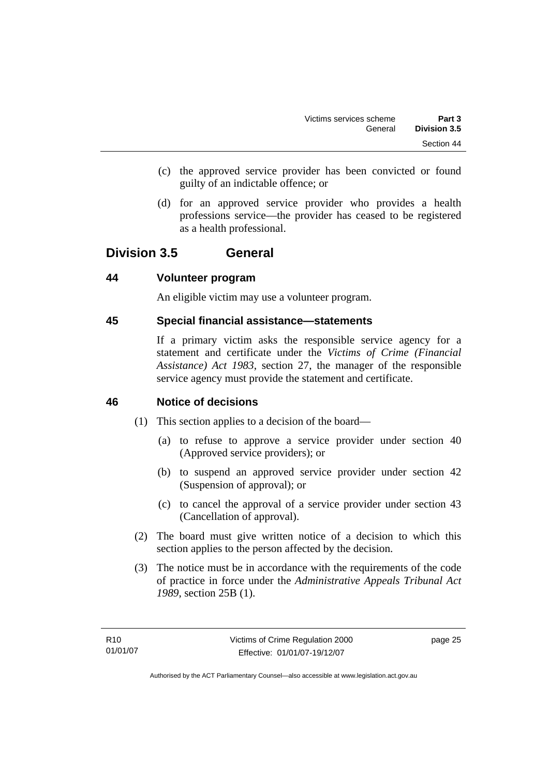- <span id="page-30-0"></span> (c) the approved service provider has been convicted or found guilty of an indictable offence; or
- (d) for an approved service provider who provides a health professions service—the provider has ceased to be registered as a health professional.

#### **Division 3.5 General**

#### **44 Volunteer program**

An eligible victim may use a volunteer program.

#### **45 Special financial assistance—statements**

If a primary victim asks the responsible service agency for a statement and certificate under the *Victims of Crime (Financial Assistance) Act 1983*, section 27, the manager of the responsible service agency must provide the statement and certificate.

#### **46 Notice of decisions**

- (1) This section applies to a decision of the board—
	- (a) to refuse to approve a service provider under section 40 (Approved service providers); or
	- (b) to suspend an approved service provider under section 42 (Suspension of approval); or
	- (c) to cancel the approval of a service provider under section 43 (Cancellation of approval).
- (2) The board must give written notice of a decision to which this section applies to the person affected by the decision.
- (3) The notice must be in accordance with the requirements of the code of practice in force under the *Administrative Appeals Tribunal Act 1989*, section 25B (1).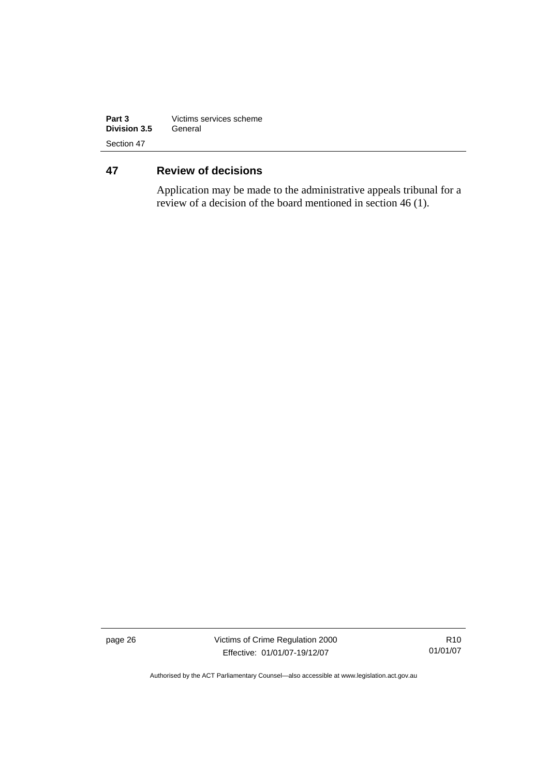<span id="page-31-0"></span>

| Part 3       | Victims services scheme |  |
|--------------|-------------------------|--|
| Division 3.5 | General                 |  |
| Section 47   |                         |  |

### **47 Review of decisions**

Application may be made to the administrative appeals tribunal for a review of a decision of the board mentioned in section 46 (1).

page 26 Victims of Crime Regulation 2000 Effective: 01/01/07-19/12/07

R10 01/01/07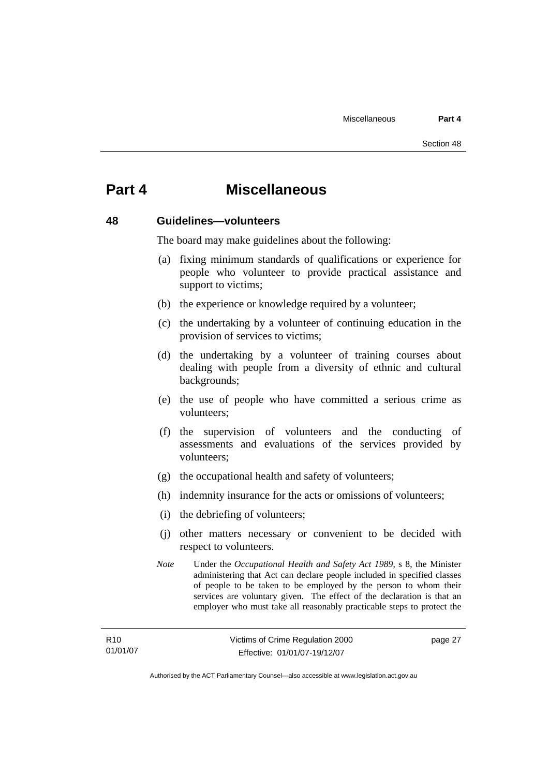### <span id="page-32-0"></span>**Part 4 Miscellaneous**

#### **48 Guidelines—volunteers**

The board may make guidelines about the following:

- (a) fixing minimum standards of qualifications or experience for people who volunteer to provide practical assistance and support to victims;
- (b) the experience or knowledge required by a volunteer;
- (c) the undertaking by a volunteer of continuing education in the provision of services to victims;
- (d) the undertaking by a volunteer of training courses about dealing with people from a diversity of ethnic and cultural backgrounds;
- (e) the use of people who have committed a serious crime as volunteers;
- (f) the supervision of volunteers and the conducting of assessments and evaluations of the services provided by volunteers;
- (g) the occupational health and safety of volunteers;
- (h) indemnity insurance for the acts or omissions of volunteers;
- (i) the debriefing of volunteers;
- (j) other matters necessary or convenient to be decided with respect to volunteers.
- *Note* Under the *Occupational Health and Safety Act 1989*, s 8, the Minister administering that Act can declare people included in specified classes of people to be taken to be employed by the person to whom their services are voluntary given. The effect of the declaration is that an employer who must take all reasonably practicable steps to protect the

page 27

Authorised by the ACT Parliamentary Counsel—also accessible at www.legislation.act.gov.au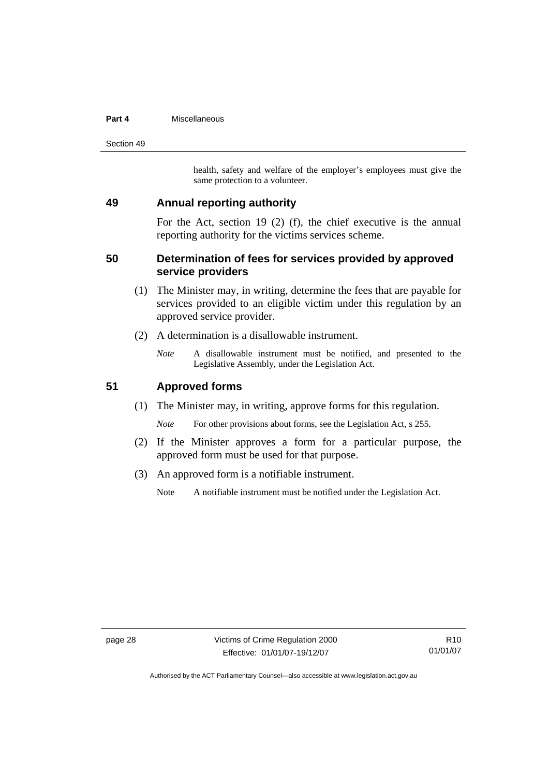#### <span id="page-33-0"></span>**Part 4** Miscellaneous

Section 49

health, safety and welfare of the employer's employees must give the same protection to a volunteer.

#### **49 Annual reporting authority**

For the Act, section 19 (2) (f), the chief executive is the annual reporting authority for the victims services scheme.

#### **50 Determination of fees for services provided by approved service providers**

- (1) The Minister may, in writing, determine the fees that are payable for services provided to an eligible victim under this regulation by an approved service provider.
- (2) A determination is a disallowable instrument.
	- *Note* A disallowable instrument must be notified, and presented to the Legislative Assembly, under the Legislation Act.

#### **51 Approved forms**

(1) The Minister may, in writing, approve forms for this regulation.

*Note* For other provisions about forms, see the Legislation Act, s 255.

- (2) If the Minister approves a form for a particular purpose, the approved form must be used for that purpose.
- (3) An approved form is a notifiable instrument.

Note A notifiable instrument must be notified under the Legislation Act.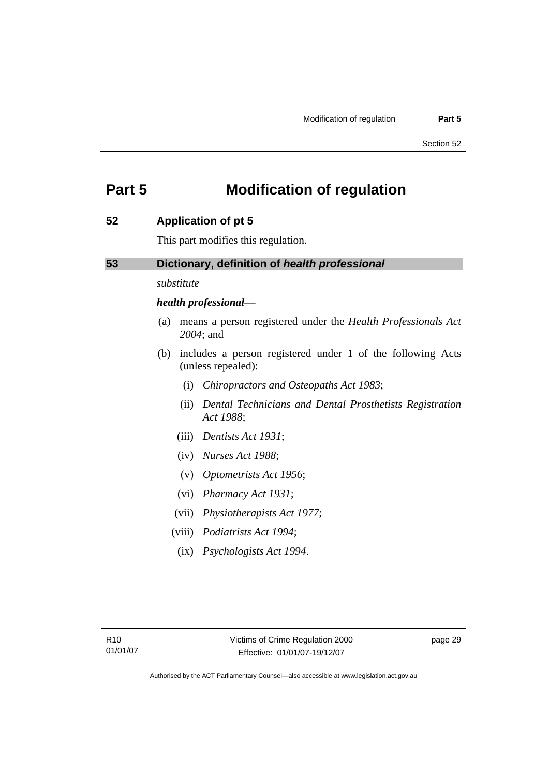### <span id="page-34-0"></span>**Part 5 Modification of regulation**

#### **52 Application of pt 5**

This part modifies this regulation.

#### **53 Dictionary, definition of** *health professional*

*substitute* 

#### *health professional*—

- (a) means a person registered under the *Health Professionals Act 2004*; and
- (b) includes a person registered under 1 of the following Acts (unless repealed):
	- (i) *Chiropractors and Osteopaths Act 1983*;
	- (ii) *Dental Technicians and Dental Prosthetists Registration Act 1988*;
	- (iii) *Dentists Act 1931*;
	- (iv) *Nurses Act 1988*;
	- (v) *Optometrists Act 1956*;
	- (vi) *Pharmacy Act 1931*;
	- (vii) *Physiotherapists Act 1977*;
	- (viii) *Podiatrists Act 1994*;
	- (ix) *Psychologists Act 1994*.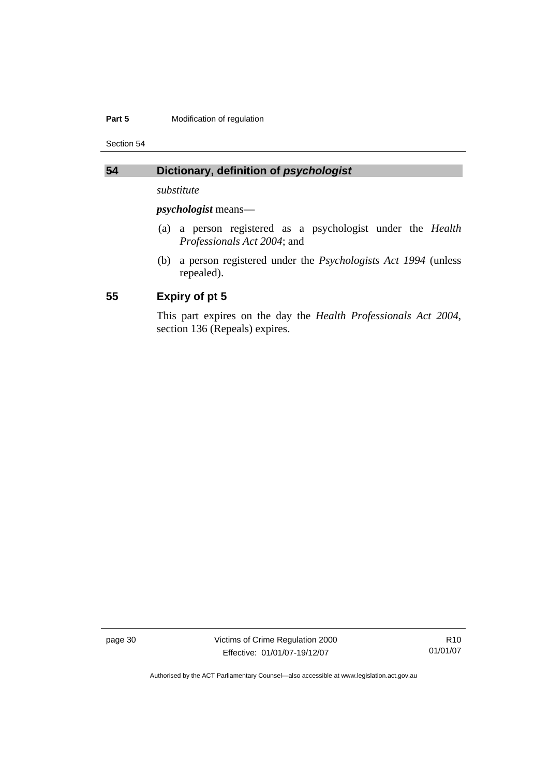#### <span id="page-35-0"></span>**Part 5 Modification of regulation**

Section 54

#### **54 Dictionary, definition of** *psychologist*

*substitute* 

*psychologist* means—

- (a) a person registered as a psychologist under the *Health Professionals Act 2004*; and
- (b) a person registered under the *Psychologists Act 1994* (unless repealed).

#### **55 Expiry of pt 5**

This part expires on the day the *Health Professionals Act 2004*, section 136 (Repeals) expires.

page 30 Victims of Crime Regulation 2000 Effective: 01/01/07-19/12/07

R10 01/01/07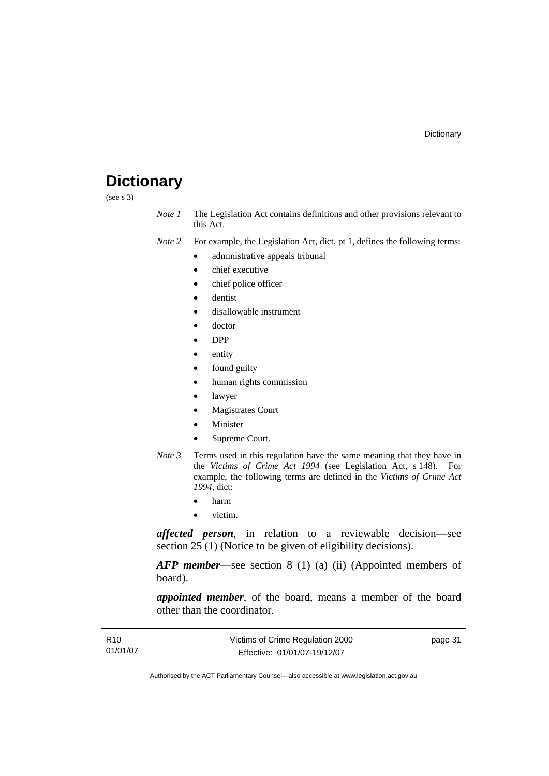## <span id="page-36-0"></span>**Dictionary**

(see s 3)

*Note 1* The Legislation Act contains definitions and other provisions relevant to this Act.

*Note 2* For example, the Legislation Act, dict, pt 1, defines the following terms:

- administrative appeals tribunal
- chief executive
- chief police officer
- dentist
- disallowable instrument
- doctor
- DPP
- entity
- found guilty
- human rights commission
- lawyer
- **Magistrates Court**
- **Minister**
- Supreme Court.
- *Note 3* Terms used in this regulation have the same meaning that they have in the *Victims of Crime Act 1994* (see Legislation Act, s 148). For example, the following terms are defined in the *Victims of Crime Act 1994*, dict:
	- harm
	- victim.

*affected person*, in relation to a reviewable decision—see section 25 (1) (Notice to be given of eligibility decisions).

*AFP member*—see section 8 (1) (a) (ii) (Appointed members of board).

*appointed member*, of the board, means a member of the board other than the coordinator.

| R <sub>10</sub> | Victims of Crime Regulation 2000 | page 31 |
|-----------------|----------------------------------|---------|
| 01/01/07        | Effective: 01/01/07-19/12/07     |         |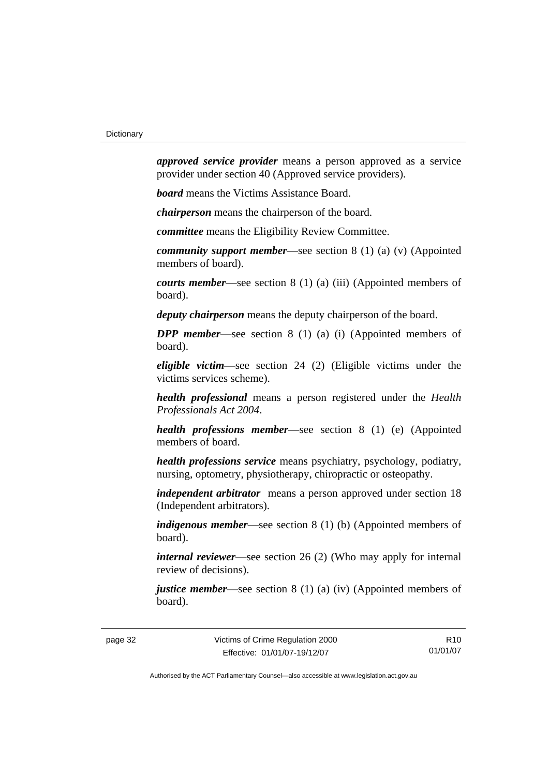*approved service provider* means a person approved as a service provider under section 40 (Approved service providers).

*board* means the Victims Assistance Board.

*chairperson* means the chairperson of the board.

*committee* means the Eligibility Review Committee.

*community support member*—see section 8 (1) (a) (v) (Appointed members of board).

*courts member*—see section 8 (1) (a) (iii) (Appointed members of board).

*deputy chairperson* means the deputy chairperson of the board.

*DPP member*—see section 8 (1) (a) (i) (Appointed members of board).

*eligible victim*—see section 24 (2) (Eligible victims under the victims services scheme).

*health professional* means a person registered under the *Health Professionals Act 2004*.

*health professions member*—see section 8 (1) (e) (Appointed members of board.

*health professions service* means psychiatry, psychology, podiatry, nursing, optometry, physiotherapy, chiropractic or osteopathy.

*independent arbitrator* means a person approved under section 18 (Independent arbitrators).

*indigenous member*—see section 8 (1) (b) (Appointed members of board).

*internal reviewer*—see section 26 (2) (Who may apply for internal review of decisions).

*justice member*—see section 8 (1) (a) (iv) (Appointed members of board).

R10 01/01/07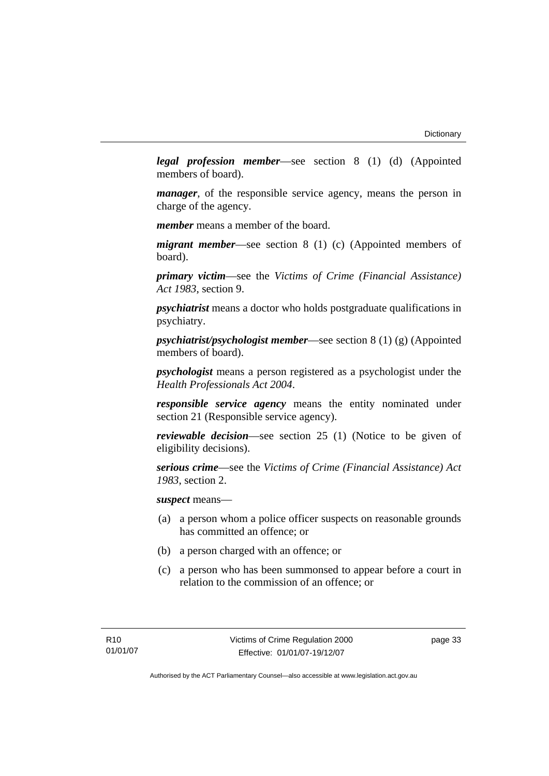*legal profession member*—see section 8 (1) (d) (Appointed members of board).

*manager*, of the responsible service agency, means the person in charge of the agency.

*member* means a member of the board.

*migrant member*—see section 8 (1) (c) (Appointed members of board).

*primary victim*—see the *Victims of Crime (Financial Assistance) Act 1983*, section 9.

*psychiatrist* means a doctor who holds postgraduate qualifications in psychiatry.

*psychiatrist/psychologist member*—see section 8 (1) (g) (Appointed members of board).

*psychologist* means a person registered as a psychologist under the *Health Professionals Act 2004*.

*responsible service agency* means the entity nominated under section 21 (Responsible service agency).

*reviewable decision*—see section 25 (1) (Notice to be given of eligibility decisions).

*serious crime*—see the *Victims of Crime (Financial Assistance) Act 1983*, section 2.

*suspect* means—

- (a) a person whom a police officer suspects on reasonable grounds has committed an offence; or
- (b) a person charged with an offence; or
- (c) a person who has been summonsed to appear before a court in relation to the commission of an offence; or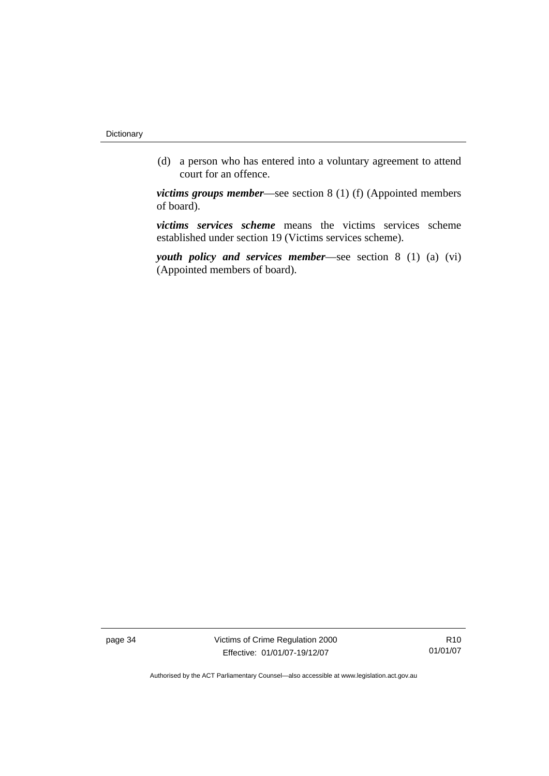(d) a person who has entered into a voluntary agreement to attend court for an offence.

*victims groups member*—see section 8 (1) (f) (Appointed members of board).

*victims services scheme* means the victims services scheme established under section 19 (Victims services scheme).

*youth policy and services member*—see section 8 (1) (a) (vi) (Appointed members of board).

page 34 Victims of Crime Regulation 2000 Effective: 01/01/07-19/12/07

R10 01/01/07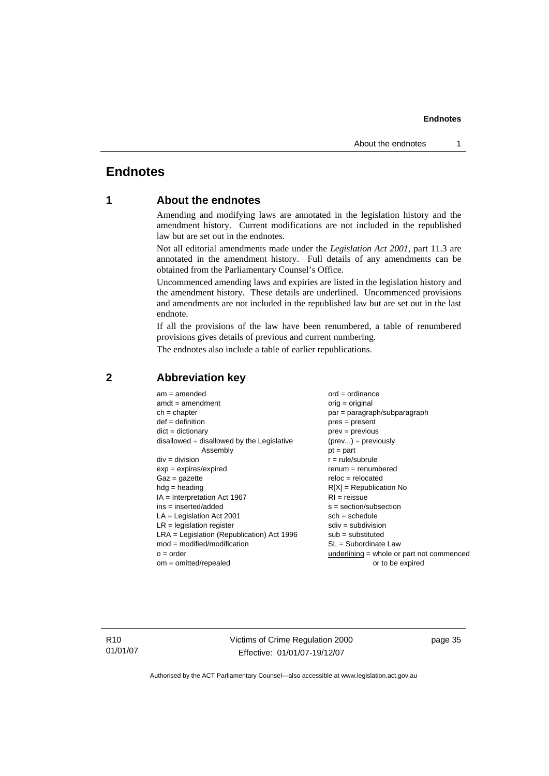#### <span id="page-40-0"></span>**Endnotes**

#### **1 About the endnotes**

Amending and modifying laws are annotated in the legislation history and the amendment history. Current modifications are not included in the republished law but are set out in the endnotes.

Not all editorial amendments made under the *Legislation Act 2001*, part 11.3 are annotated in the amendment history. Full details of any amendments can be obtained from the Parliamentary Counsel's Office.

Uncommenced amending laws and expiries are listed in the legislation history and the amendment history. These details are underlined. Uncommenced provisions and amendments are not included in the republished law but are set out in the last endnote.

If all the provisions of the law have been renumbered, a table of renumbered provisions gives details of previous and current numbering.

The endnotes also include a table of earlier republications.

| $am = amended$                               | $ord = ordinance$                         |
|----------------------------------------------|-------------------------------------------|
| $amdt = amendment$                           | $orig = original$                         |
| $ch = chapter$                               | $par = paragraph/subparagraph$            |
| $def = definition$                           | $pres = present$                          |
| $dict = dictionary$                          | $prev = previous$                         |
| $disallowed = disallowed by the Legislative$ | $(\text{prev}) = \text{previously}$       |
| Assembly                                     | $pt = part$                               |
| $div = division$                             | $r = rule/subrule$                        |
| $exp = expires/expired$                      | $remum = renumbered$                      |
| $Gaz = gazette$                              | $reloc = relocated$                       |
| $hdg =$ heading                              | $R[X]$ = Republication No                 |
| $IA = Interpretation Act 1967$               | $RI = reissue$                            |
| $ins = inserted/added$                       | $s = section/subsection$                  |
| $LA =$ Legislation Act 2001                  | $sch = schedule$                          |
| $LR =$ legislation register                  | $sdiv = subdivision$                      |
| $LRA =$ Legislation (Republication) Act 1996 | $sub =$ substituted                       |
| $mod = modified/modification$                | SL = Subordinate Law                      |
| $o = order$                                  | underlining = whole or part not commenced |
| $om = omitted/repealed$                      | or to be expired                          |
|                                              |                                           |

#### **2 Abbreviation key**

R10 01/01/07 Victims of Crime Regulation 2000 Effective: 01/01/07-19/12/07

page 35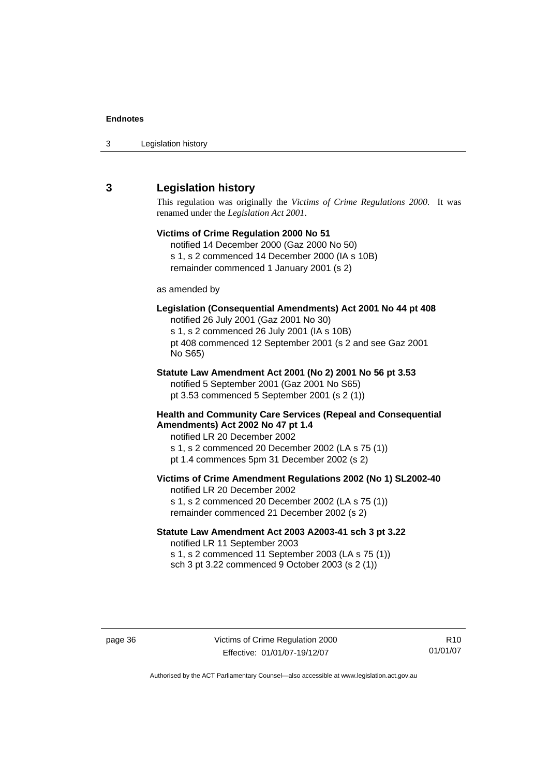<span id="page-41-0"></span>

| 3 | Legislation history |  |
|---|---------------------|--|
|---|---------------------|--|

#### **3 Legislation history**

This regulation was originally the *Victims of Crime Regulations 2000*. It was renamed under the *Legislation Act 2001*.

#### **Victims of Crime Regulation 2000 No 51**  notified 14 December 2000 (Gaz 2000 No 50) s 1, s 2 commenced 14 December 2000 (IA s 10B) remainder commenced 1 January 2001 (s 2) as amended by **Legislation (Consequential Amendments) Act 2001 No 44 pt 408**  notified 26 July 2001 (Gaz 2001 No 30) s 1, s 2 commenced 26 July 2001 (IA s 10B) pt 408 commenced 12 September 2001 (s 2 and see Gaz 2001 No S65) **Statute Law Amendment Act 2001 (No 2) 2001 No 56 pt 3.53**  notified 5 September 2001 (Gaz 2001 No S65) pt 3.53 commenced 5 September 2001 (s 2 (1)) **Health and Community Care Services (Repeal and Consequential Amendments) Act 2002 No 47 pt 1.4**  notified LR 20 December 2002 s 1, s 2 commenced 20 December 2002 (LA s 75 (1)) pt 1.4 commences 5pm 31 December 2002 (s 2) **Victims of Crime Amendment Regulations 2002 (No 1) SL2002-40**  notified LR 20 December 2002 s 1, s 2 commenced 20 December 2002 (LA s 75 (1)) remainder commenced 21 December 2002 (s 2) **Statute Law Amendment Act 2003 A2003-41 sch 3 pt 3.22**  notified LR 11 September 2003

s 1, s 2 commenced 11 September 2003 (LA s 75 (1)) sch 3 pt 3.22 commenced 9 October 2003 (s 2 (1))

R10 01/01/07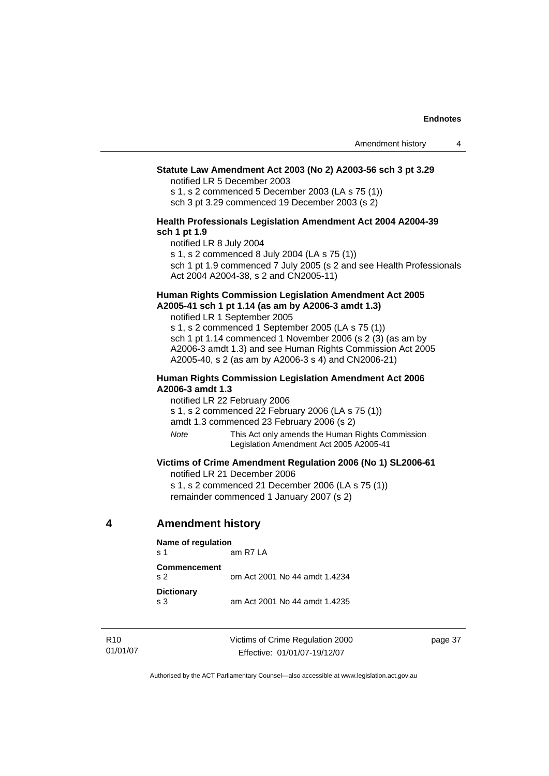#### <span id="page-42-0"></span>**Statute Law Amendment Act 2003 (No 2) A2003-56 sch 3 pt 3.29**

notified LR 5 December 2003

s 1, s 2 commenced 5 December 2003 (LA s 75 (1)) sch 3 pt 3.29 commenced 19 December 2003 (s 2)

#### **Health Professionals Legislation Amendment Act 2004 A2004-39 sch 1 pt 1.9**

notified LR 8 July 2004

s 1, s 2 commenced 8 July 2004 (LA s 75 (1))

sch 1 pt 1.9 commenced 7 July 2005 (s 2 and see Health Professionals Act 2004 A2004-38, s 2 and CN2005-11)

#### **Human Rights Commission Legislation Amendment Act 2005 A2005-41 sch 1 pt 1.14 (as am by A2006-3 amdt 1.3)**

notified LR 1 September 2005 s 1, s 2 commenced 1 September 2005 (LA s 75 (1))

sch 1 pt 1.14 commenced 1 November 2006 (s 2 (3) (as am by A2006-3 amdt 1.3) and see Human Rights Commission Act 2005 A2005-40, s 2 (as am by A2006-3 s 4) and CN2006-21)

#### **Human Rights Commission Legislation Amendment Act 2006 A2006-3 amdt 1.3**

notified LR 22 February 2006

s 1, s 2 commenced 22 February 2006 (LA s 75 (1))

amdt 1.3 commenced 23 February 2006 (s 2)

*Note* This Act only amends the Human Rights Commission Legislation Amendment Act 2005 A2005-41

#### **Victims of Crime Amendment Regulation 2006 (No 1) SL2006-61**

notified LR 21 December 2006 s 1, s 2 commenced 21 December 2006 (LA s 75 (1)) remainder commenced 1 January 2007 (s 2)

#### **4 Amendment history**

| Name of regulation<br>am $R7LA$<br>$\mathbf{s}$ 1 |                               |  |  |
|---------------------------------------------------|-------------------------------|--|--|
| Commencement<br>S <sub>2</sub>                    | om Act 2001 No 44 amdt 1.4234 |  |  |
| <b>Dictionary</b><br>$\mathbf{s}$ 3               | am Act 2001 No 44 amdt 1.4235 |  |  |

R10 01/01/07 Victims of Crime Regulation 2000 Effective: 01/01/07-19/12/07

page 37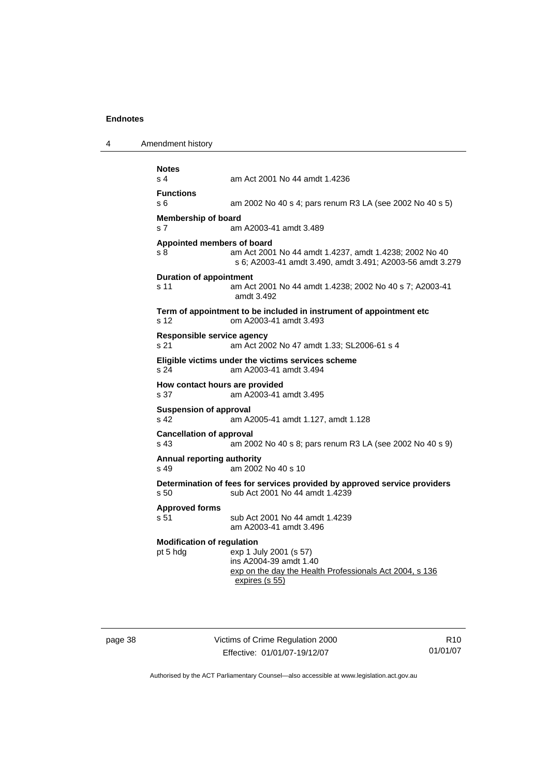4 Amendment history

| <b>Notes</b><br>s <sub>4</sub>                   | am Act 2001 No 44 amdt 1.4236                                                                                                 |
|--------------------------------------------------|-------------------------------------------------------------------------------------------------------------------------------|
| <b>Functions</b><br>s 6                          | am 2002 No 40 s 4; pars renum R3 LA (see 2002 No 40 s 5)                                                                      |
| <b>Membership of board</b><br>s 7                | am A2003-41 amdt 3.489                                                                                                        |
| Appointed members of board<br>s 8                | am Act 2001 No 44 amdt 1.4237, amdt 1.4238; 2002 No 40<br>s 6; A2003-41 amdt 3.490, amdt 3.491; A2003-56 amdt 3.279           |
| <b>Duration of appointment</b><br>s 11           | am Act 2001 No 44 amdt 1.4238; 2002 No 40 s 7; A2003-41<br>amdt 3.492                                                         |
| s 12                                             | Term of appointment to be included in instrument of appointment etc<br>om A2003-41 amdt 3.493                                 |
| Responsible service agency<br>s 21               | am Act 2002 No 47 amdt 1.33; SL2006-61 s 4                                                                                    |
| s 24                                             | Eligible victims under the victims services scheme<br>am A2003-41 amdt 3.494                                                  |
| How contact hours are provided<br>s 37           | am A2003-41 amdt 3.495                                                                                                        |
| <b>Suspension of approval</b><br>s <sub>42</sub> | am A2005-41 amdt 1.127, amdt 1.128                                                                                            |
| <b>Cancellation of approval</b><br>s 43          | am 2002 No 40 s 8; pars renum R3 LA (see 2002 No 40 s 9)                                                                      |
| <b>Annual reporting authority</b><br>s 49        | am 2002 No 40 s 10                                                                                                            |
| s 50                                             | Determination of fees for services provided by approved service providers<br>sub Act 2001 No 44 amdt 1.4239                   |
| <b>Approved forms</b><br>s 51                    | sub Act 2001 No 44 amdt 1.4239<br>am A2003-41 amdt 3.496                                                                      |
| <b>Modification of regulation</b><br>pt 5 hdg    | exp 1 July 2001 (s 57)<br>ins A2004-39 amdt 1.40<br>exp on the day the Health Professionals Act 2004, s 136<br>expires (s 55) |

page 38 Victims of Crime Regulation 2000 Effective: 01/01/07-19/12/07

R10 01/01/07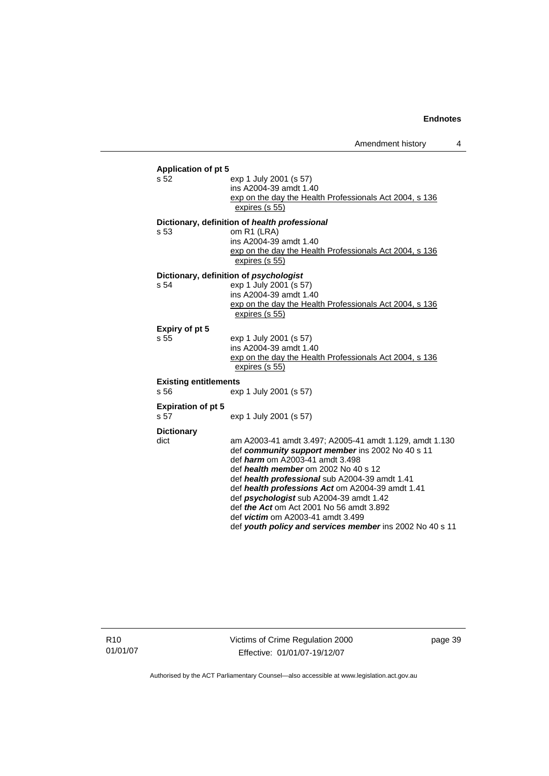| <b>Application of pt 5</b><br>s 52   | exp 1 July 2001 (s 57)<br>ins A2004-39 amdt 1.40<br>exp on the day the Health Professionals Act 2004, s 136<br>expires (s 55)                                                                                                                                                                                                                                                                                                                                                                                    |
|--------------------------------------|------------------------------------------------------------------------------------------------------------------------------------------------------------------------------------------------------------------------------------------------------------------------------------------------------------------------------------------------------------------------------------------------------------------------------------------------------------------------------------------------------------------|
| s 53                                 | Dictionary, definition of health professional<br>om R1 (LRA)<br>ins A2004-39 amdt 1.40<br>exp on the day the Health Professionals Act 2004, s 136<br>expires (s 55)                                                                                                                                                                                                                                                                                                                                              |
| s 54                                 | Dictionary, definition of psychologist<br>exp 1 July 2001 (s 57)<br>ins A2004-39 amdt 1.40<br>exp on the day the Health Professionals Act 2004, s 136<br>expires (s 55)                                                                                                                                                                                                                                                                                                                                          |
| Expiry of pt 5<br>s 55               | exp 1 July 2001 (s 57)<br>ins A2004-39 amdt 1.40<br>exp on the day the Health Professionals Act 2004, s 136<br>expires (s 55)                                                                                                                                                                                                                                                                                                                                                                                    |
| <b>Existing entitlements</b><br>s 56 | exp 1 July 2001 (s 57)                                                                                                                                                                                                                                                                                                                                                                                                                                                                                           |
| <b>Expiration of pt 5</b><br>s 57    | exp 1 July 2001 (s 57)                                                                                                                                                                                                                                                                                                                                                                                                                                                                                           |
| <b>Dictionary</b><br>dict            | am A2003-41 amdt 3.497; A2005-41 amdt 1.129, amdt 1.130<br>def community support member ins 2002 No 40 s 11<br>def <i>harm</i> om A2003-41 amdt 3.498<br>def health member om 2002 No 40 s 12<br>def health professional sub A2004-39 amdt 1.41<br>def health professions Act om A2004-39 amdt 1.41<br>def <i>psychologist</i> sub A2004-39 amdt 1.42<br>def <i>the Act</i> om Act 2001 No 56 amdt 3.892<br>def <i>victim</i> om A2003-41 amdt 3.499<br>def youth policy and services member ins 2002 No 40 s 11 |

R10 01/01/07 Victims of Crime Regulation 2000 Effective: 01/01/07-19/12/07

page 39